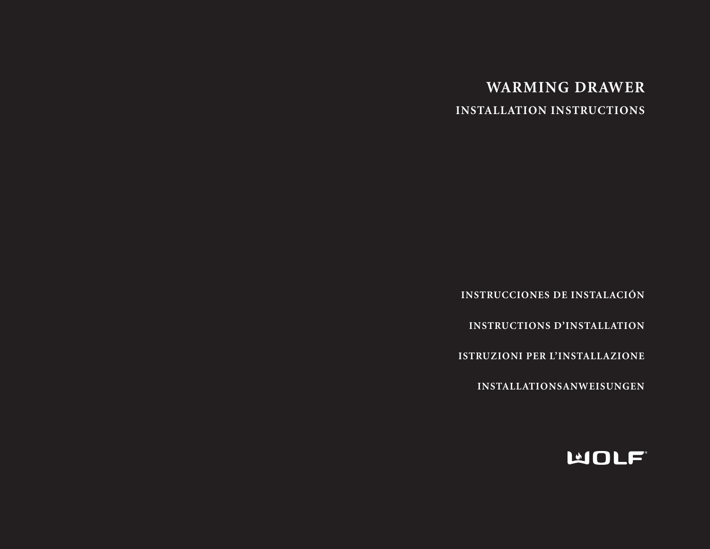# **WARMING DRAWER INSTALLATION INSTRUCTIONS**

**INSTRUCCIONES DE INSTALACIÓN**

**INSTRUCTIONS D'INSTALLATION**

**ISTRUZIONI PER L'INSTALLAZIONE**

**INSTALLATIONSANWEISUNGEN**

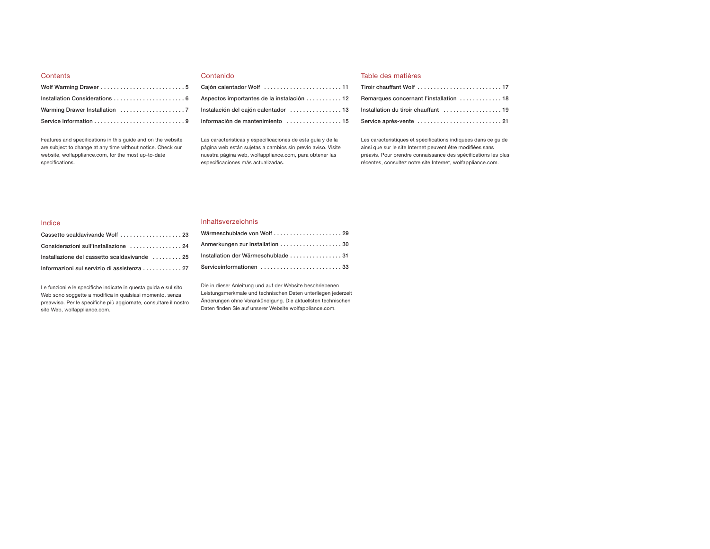# **Contents**

Features and specifications in this guide and on the website are subject to change at any time without notice. Check our website, wolfappliance.com, for the most up-to-date specifications.

# Contenido

| Aspectos importantes de la instalación  12 |
|--------------------------------------------|
| Instalación del cajón calentador 13        |
| Información de mantenimiento 15            |

Las características y especificaciones de esta guía y de la página web están sujetas a cambios sin previo aviso. Visite nuestra página web, wolfappliance.com, para obtener las especificaciones más actualizadas.

# Table des matières

| Remarques concernant l'installation  18 |
|-----------------------------------------|
| Installation du tiroir chauffant  19    |
|                                         |

Les caractéristiques et spécifications indiquées dans ce guide ainsi que sur le site Internet peuvent être modifiées sans préavis. Pour prendre connaissance des spécifications les plus récentes, consultez notre site Internet, wolfappliance.com.

# Indice

|  | Inhaltsverzeichnis |
|--|--------------------|
|  |                    |

| Cassetto scaldavivande Wolf  23              |  |
|----------------------------------------------|--|
| Considerazioni sull'installazione  24        |  |
| Installazione del cassetto scaldavivande  25 |  |
| Informazioni sul servizio di assistenza 27   |  |

Le funzioni e le specifiche indicate in questa guida e sul sito Web sono soggette a modifica in qualsiasi momento, senza preavviso. Per le specifiche più aggiornate, consultare il nostro sito Web, wolfappliance.com.

Wärmeschublade von Wolf ..................... 29 Anmerkungen zur Installation . . . . . . . . . . . . . . . . . . 30 **Installation der Wärmeschublade . . . . . . . . . . . . . . . . 31** Serviceinformationen ............................33

Die in dieser Anleitung und auf der Website beschriebenen Leistungsmerkmale und technischen Daten unterliegen jederzeit Änderungen ohne Vorankündigung. Die aktuellsten technischen Daten finden Sie auf unserer Website wolfappliance.com.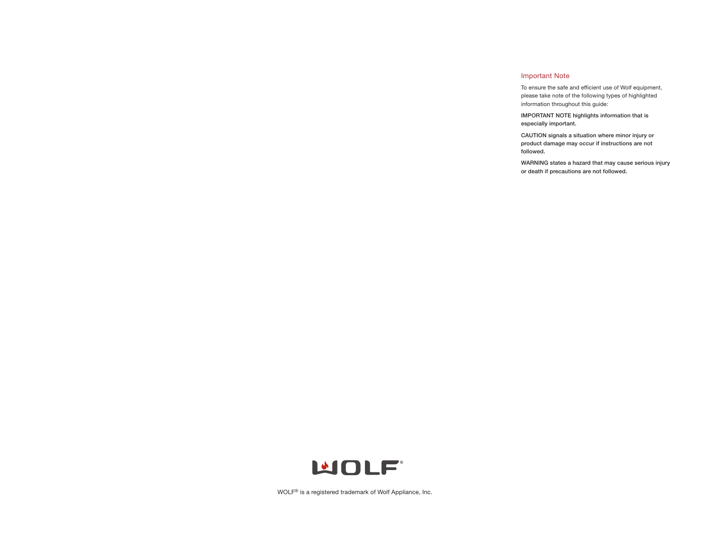# Important Note

To ensure the safe and efficient use of Wolf equipment, please take note of the following types of highlighted information throughout this guide:

**IMPORTANT NOTE highlights information that is especially important.**

**CAUTION signals a situation where minor injury or product damage may occur if instructions are not followed.**

**WARNING states a hazard that may cause serious injury or death if precautions are not followed.**



WOLF® is a registered trademark of Wolf Appliance, Inc.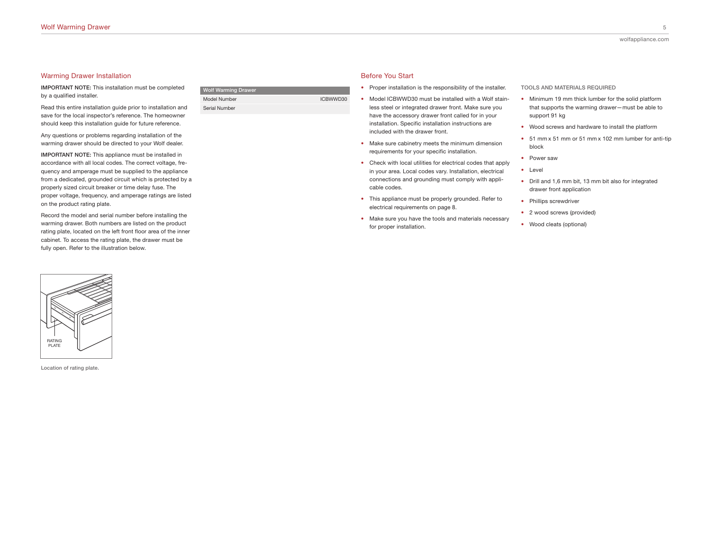#### Warming Drawer Installation

**IMPORTANT NOTE:** This installation must be completed by a qualified installer.

Read this entire installation guide prior to installation and save for the local inspector's reference. The homeowner should keep this installation guide for future reference.

Any questions or problems regarding installation of the warming drawer should be directed to your Wolf dealer.

**IMPORTANT NOTE:** This appliance must be installed in accordance with all local codes. The correct voltage, frequency and amperage must be supplied to the appliance from a dedicated, grounded circuit which is protected by a properly sized circuit breaker or time delay fuse. The proper voltage, frequency, and amperage ratings are listed on the product rating plate.

Record the model and serial number before installing the warming drawer. Both numbers are listed on the product rating plate, located on the left front floor area of the inner cabinet. To access the rating plate, the drawer must be fully open. Refer to the illustration below.



**Location of rating plate.**

# **Wolf Warming** Drawe

Model Number 12 and 2009 12 and 2009 12 and 2009 12 and 2009 12 and 2009 12 and 2009 12 and 2009 12 and 2009 12 and 2009 12 and 2009 12 and 2009 12 and 2009 12 and 2009 12 and 2009 12 and 2009 12 and 2009 12 and 2009 12 an Serial Number

# • Proper installation is the responsibility of the installer.

Before You Start

• Model ICBWWD30 must be installed with a Wolf stainless steel or integrated drawer front. Make sure you have the accessory drawer front called for in your installation. Specific installation instructions are included with the drawer front.

- Make sure cabinetry meets the minimum dimension requirements for your specific installation.
- Check with local utilities for electrical codes that apply in your area. Local codes vary. Installation, electrical connections and grounding must comply with applicable codes.
- This appliance must be properly grounded. Refer to electrical requirements on page 8.
- Make sure you have the tools and materials necessary for proper installation.

**TOOLS AND MATERIALS REQUIRED**

- Minimum 19 mm thick lumber for the solid platform that supports the warming drawer—must be able to support 91 kg
- Wood screws and hardware to install the platform
- 51 mm x 51 mm or 51 mm x 102 mm lumber for anti-tip block
- Power saw
- Level
- Drill and 1,6 mm bit, 13 mm bit also for integrated drawer front application
- Phillips screwdriver
- 2 wood screws (provided)
- Wood cleats (optional)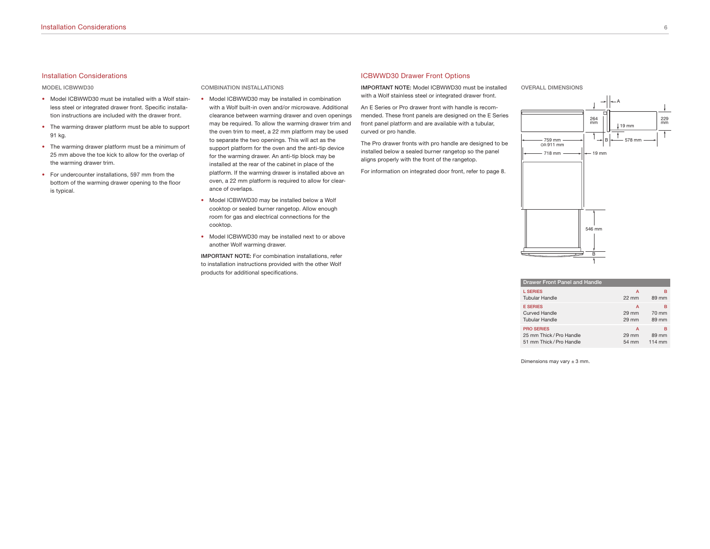#### Installation Considerations

**MODEL ICBWWD30**

- Model ICBWWD30 must be installed with a Wolf stainless steel or integrated drawer front. Specific installation instructions are included with the drawer front.
- The warming drawer platform must be able to support 91 kg.
- The warming drawer platform must be a minimum of 25 mm above the toe kick to allow for the overlap of the warming drawer trim.
- For undercounter installations, 597 mm from the bottom of the warming drawer opening to the floor is typical.

#### **COMBINATION INSTALLATIONS**

- Model ICBWWD30 may be installed in combination with a Wolf built-in oven and/or microwave. Additional clearance between warming drawer and oven openings may be required. To allow the warming drawer trim and the oven trim to meet, a 22 mm platform may be used to separate the two openings. This will act as the support platform for the oven and the anti-tip device for the warming drawer. An anti-tip block may be installed at the rear of the cabinet in place of the platform. If the warming drawer is installed above an oven, a 22 mm platform is required to allow for clearance of overlaps.
- Model ICBWWD30 may be installed below a Wolf cooktop or sealed burner rangetop. Allow enough room for gas and electrical connections for the cooktop.
- Model ICBWWD30 may be installed next to or above another Wolf warming drawer.

**IMPORTANT NOTE:** For combination installations, refer to installation instructions provided with the other Wolf products for additional specifications.

# ICBWWD30 Drawer Front Options

**IMPORTANT NOTE:** Model ICBWWD30 must be installed with a Wolf stainless steel or integrated drawer front.

An E Series or Pro drawer front with handle is recommended. These front panels are designed on the E Series front panel platform and are available with a tubular, curved or pro handle.

The Pro drawer fronts with pro handle are designed to be installed below a sealed burner rangetop so the panel aligns properly with the front of the rangetop.

For information on integrated door front, refer to page 8.

**OVERALL DIMENSIONS**



| <b>Drawer Front Panel and Handle</b> |                 |        |
|--------------------------------------|-----------------|--------|
| <b>L SERIES</b>                      | A               | в      |
| <b>Tubular Handle</b>                | $22 \text{ mm}$ | 89 mm  |
| <b>E SERIES</b>                      | A               | в      |
| Curved Handle                        | 29 mm           | 70 mm  |
| <b>Tubular Handle</b>                | 29 mm           | 89 mm  |
| <b>PRO SERIES</b>                    | A               | в      |
| 25 mm Thick / Pro Handle             | 29 mm           | 89 mm  |
| 51 mm Thick / Pro Handle             | 54 mm           | 114 mm |

Dimensions may vary  $\pm$  3 mm.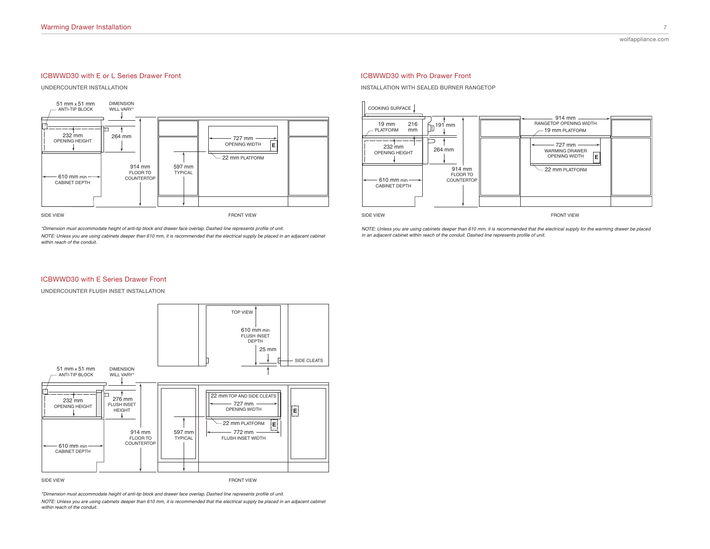# ICBWWD30 with E or L Series Drawer Front

**UNDERCOUNTER INSTALLATION**



\*Dimension must accommodate height of anti-tip block and drawer face overlap. Dashed line represents profile of unit.

*NOTE: Unless you are using cabinets deeper than 610 mm, it is recommended that the electrical supply be placed in an adjacent cabinet* within reach of the conduit.

# ICBWWD30 with Pro Drawer Front

**INSTALLATION WITH SEALED BURNER RANGETOP**



*NOTE: Unless you are using cabinets deeper than 610 mm, it is recommended that the electrical supply for the warming drawer be placed in an adjacent cabinet within reach of the conduit. Dashed line represents profile of unit.* 

### ICBWWD30 with E Series Drawer Front

**UNDERCOUNTER FLUSH INSET INSTALLATION**



\*Dimension must accommodate height of anti-tip block and drawer face overlap. Dashed line represents profile of unit. *NOTE: Unless you are using cabinets deeper than 610 mm, it is recommended that the electrical supply be placed in an adjacent cabinet* within reach of the conduit.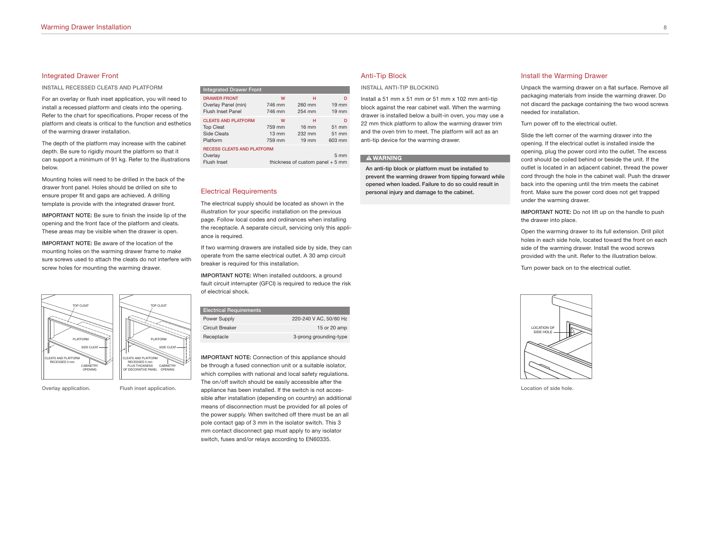### Integrated Drawer Front

**INSTALL RECESSED CLEATS AND PLATFORM**

For an overlay or flush inset application, you will need to install a recessed platform and cleats into the opening. Refer to the chart for specifications. Proper recess of the platform and cleats is critical to the function and esthetics of the warming drawer installation.

The depth of the platform may increase with the cabinet depth. Be sure to rigidly mount the platform so that it can support a minimum of 91 kg. Refer to the illustrations below.

Mounting holes will need to be drilled in the back of the drawer front panel. Holes should be drilled on site to ensure proper fit and gaps are achieved. A drilling template is provide with the integrated drawer front.

**IMPORTANT NOTE:** Be sure to finish the inside lip of the opening and the front face of the platform and cleats. These areas may be visible when the drawer is open.

**IMPORTANT NOTE:** Be aware of the location of the mounting holes on the warming drawer frame to make sure screws used to attach the cleats do not interfere with screw holes for mounting the warming drawer.



**Overlay application. Flush inset application.**

# **Integrated Drawer Front**

| $m \sim m \sim m \sim m \sim m$                             |                 |                                   |                 |
|-------------------------------------------------------------|-----------------|-----------------------------------|-----------------|
| <b>DRAWER FRONT</b>                                         | W               | н                                 | D               |
| Overlay Panel (min)                                         | 746 mm          | 260 mm                            | $19 \text{ mm}$ |
| <b>Flush Inset Panel</b>                                    | 746 mm          | 254 mm                            | $19 \text{ mm}$ |
| <b>CLEATS AND PLATFORM</b>                                  | w               | н                                 | n               |
| <b>Top Cleat</b>                                            | 759 mm          | $16 \text{ mm}$                   | 51 mm           |
| Side Cleats                                                 | $13 \text{ mm}$ | 232 mm                            | 51 mm           |
| Platform                                                    | 759 mm          | $19 \text{ mm}$                   | 603 mm          |
| <b>RECESS CLEATS AND PLATFORM</b><br>Overlay<br>Flush Inset |                 | thickness of custom panel $+5$ mm | 5 <sub>mm</sub> |

#### Electrical Requirements

The electrical supply should be located as shown in the illustration for your specific installation on the previous page. Follow local codes and ordinances when installing the receptacle. A separate circuit, servicing only this appliance is required.

If two warming drawers are installed side by side, they can operate from the same electrical outlet. A 30 amp circuit breaker is required for this installation.

**IMPORTANT NOTE:** When installed outdoors, a ground fault circuit interrupter (GFCI) is required to reduce the risk of electrical shock.

| <b>Electrical Requirements</b> |                        |
|--------------------------------|------------------------|
| Power Supply                   | 220-240 V AC, 50/60 Hz |
| Circuit Breaker                | 15 or 20 amp           |
| Receptacle                     | 3-prong grounding-type |
|                                |                        |

**IMPORTANT NOTE:** Connection of this appliance should be through a fused connection unit or a suitable isolator, which complies with national and local safety regulations. The on/off switch should be easily accessible after the appliance has been installed. If the switch is not accessible after installation (depending on country) an additional means of disconnection must be provided for all poles of the power supply. When switched off there must be an all pole contact gap of 3 mm in the isolator switch. This 3 mm contact disconnect gap must apply to any isolator switch, fuses and/or relays according to EN60335.

#### Anti-Tip Block

**INSTALL ANTI-TIP BLOCKING**

Install a 51 mm x 51 mm or 51 mm x 102 mm anti-tip block against the rear cabinet wall. When the warming drawer is installed below a built-in oven, you may use a 22 mm thick platform to allow the warming drawer trim and the oven trim to meet. The platform will act as an anti-tip device for the warming drawer.

#### **AWARNING**

**An anti-tip block or platform must be installed to prevent the warming drawer from tipping forward while opened when loaded. Failure to do so could result in personal injury and damage to the cabinet.**

#### Install the Warming Drawer

Unpack the warming drawer on a flat surface. Remove all packaging materials from inside the warming drawer. Do not discard the package containing the two wood screws needed for installation.

Turn power off to the electrical outlet.

Slide the left corner of the warming drawer into the opening. If the electrical outlet is installed inside the opening, plug the power cord into the outlet. The excess cord should be coiled behind or beside the unit. If the outlet is located in an adjacent cabinet, thread the power cord through the hole in the cabinet wall. Push the drawer back into the opening until the trim meets the cabinet front. Make sure the power cord does not get trapped under the warming drawer.

**IMPORTANT NOTE:** Do not lift up on the handle to push the drawer into place.

Open the warming drawer to its full extension. Drill pilot holes in each side hole, located toward the front on each side of the warming drawer. Install the wood screws provided with the unit. Refer to the illustration below.

Turn power back on to the electrical outlet.



**Location of side hole.**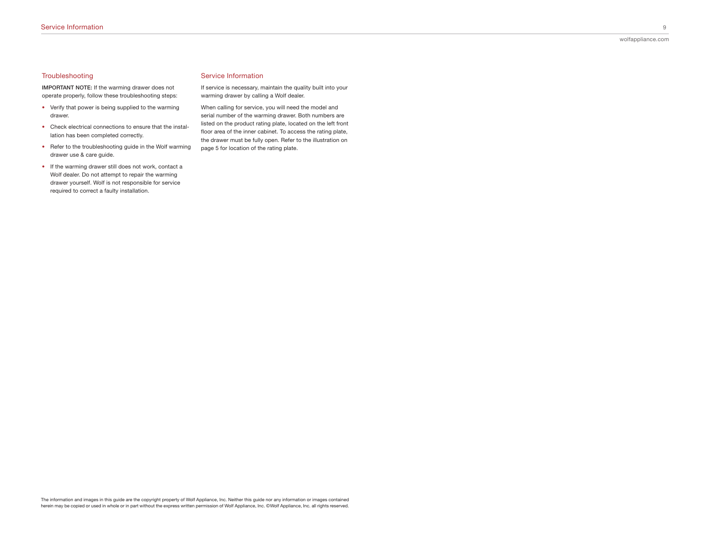# **Troubleshooting**

**IMPORTANT NOTE:** If the warming drawer does not operate properly, follow these troubleshooting steps:

- Verify that power is being supplied to the warming drawer.
- Check electrical connections to ensure that the installation has been completed correctly.
- Refer to the troubleshooting guide in the Wolf warming drawer use & care guide.
- If the warming drawer still does not work, contact a Wolf dealer. Do not attempt to repair the warming drawer yourself. Wolf is not responsible for service required to correct a faulty installation.

# Service Information

If service is necessary, maintain the quality built into your warming drawer by calling a Wolf dealer.

When calling for service, you will need the model and serial number of the warming drawer. Both numbers are listed on the product rating plate, located on the left front floor area of the inner cabinet. To access the rating plate, the drawer must be fully open. Refer to the illustration on page 5 for location of the rating plate.

The information and images in this guide are the copyright property of Wolf Appliance, Inc. Neither this guide nor any information or images contained herein may be copied or used in whole or in part without the express written permission of Wolf Appliance, Inc. ©Wolf Appliance, Inc. all rights reserved.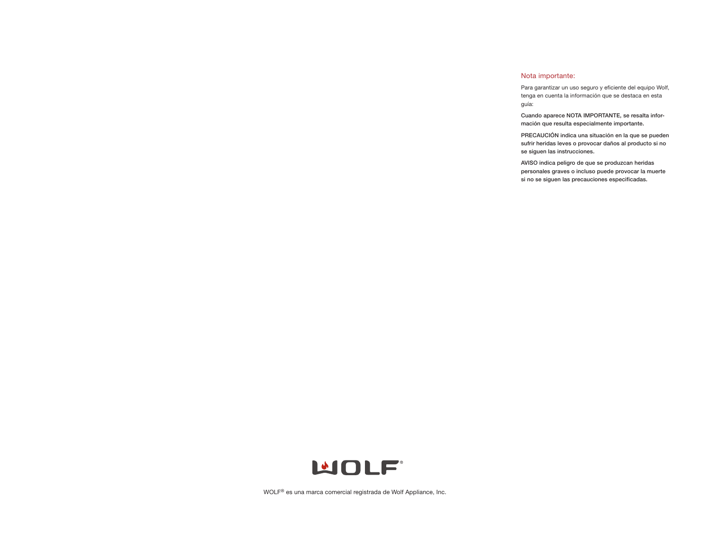# Nota importante:

Para garantizar un uso seguro y eficiente del equipo Wolf, tenga en cuenta la información que se destaca en esta guía:

**Cuando aparece NOTA IMPORTANTE, se resalta información que resulta especialmente importante.**

**PRECAUCIÓN indica una situación en la que se pueden sufrir heridas leves o provocar daños al producto si no se siguen las instrucciones.**

**AVISO indica peligro de que se produzcan heridas personales graves o incluso puede provocar la muerte si no se siguen las precauciones especificadas.**



WOLF® es una marca comercial registrada de Wolf Appliance, Inc.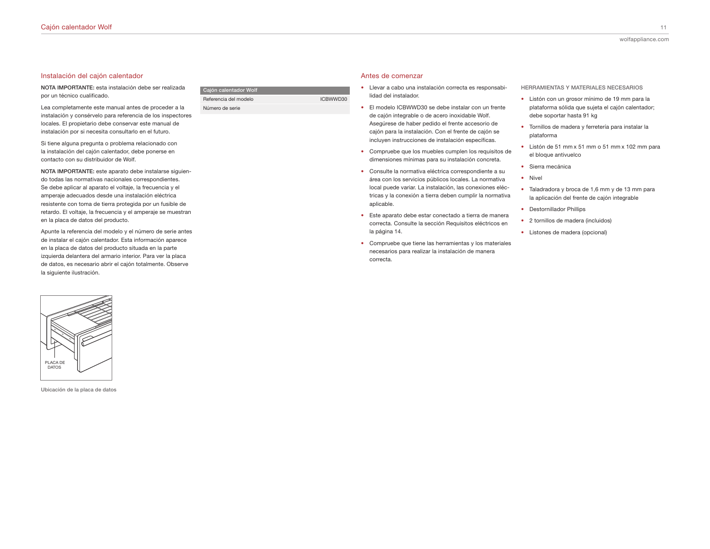# Instalación del cajón calentador

**NOTA IMPORTANTE:** esta instalación debe ser realizada por un técnico cualificado.

Lea completamente este manual antes de proceder a la instalación y consérvelo para referencia de los inspectores locales. El propietario debe conservar este manual de instalación por si necesita consultarlo en el futuro.

Si tiene alguna pregunta o problema relacionado con la instalación del cajón calentador, debe ponerse en contacto con su distribuidor de Wolf.

**NOTA IMPORTANTE:** este aparato debe instalarse siguiendo todas las normativas nacionales correspondientes. Se debe aplicar al aparato el voltaje, la frecuencia y el amperaje adecuados desde una instalación eléctrica resistente con toma de tierra protegida por un fusible de retardo. El voltaje, la frecuencia y el amperaje se muestran en la placa de datos del producto.

Apunte la referencia del modelo y el número de serie antes de instalar el cajón calentador. Esta información aparece en la placa de datos del producto situada en la parte izquierda delantera del armario interior. Para ver la placa de datos, es necesario abrir el cajón totalmente. Observe la siguiente ilustración.



**Ubicación de la placa de datos**

| Cajón calentador Wolf |          |
|-----------------------|----------|
| Referencia del modelo | ICBWWD30 |
| Número de serie       |          |

#### Antes de comenzar

- Llevar a cabo una instalación correcta es responsabilidad del instalador.
- El modelo ICBWWD30 se debe instalar con un frente de cajón integrable o de acero inoxidable Wolf. Asegúrese de haber pedido el frente accesorio de cajón para la instalación. Con el frente de cajón se incluyen instrucciones de instalación específicas.
- Compruebe que los muebles cumplen los requisitos de dimensiones mínimas para su instalación concreta.
- Consulte la normativa eléctrica correspondiente a su área con los servicios públicos locales. La normativa local puede variar. La instalación, las conexiones eléctricas y la conexión a tierra deben cumplir la normativa aplicable.
- Este aparato debe estar conectado a tierra de manera correcta. Consulte la sección Requisitos eléctricos en la página 14.
- Compruebe que tiene las herramientas y los materiales necesarios para realizar la instalación de manera correcta.

**HERRAMIENTAS Y MATERIALES NECESARIOS**

- Listón con un grosor mínimo de 19 mm para la plataforma sólida que sujeta el cajón calentador; debe soportar hasta 91 kg
- Tornillos de madera y ferretería para instalar la plataforma
- Listón de 51 mm x 51 mm o 51 mm x 102 mm para el bloque antivuelco
- Sierra mecánica
- Nivel
- Taladradora y broca de 1,6 mm y de 13 mm para la aplicación del frente de cajón integrable
- Destornillador Phillips
- 2 tornillos de madera (incluidos)
- Listones de madera (opcional)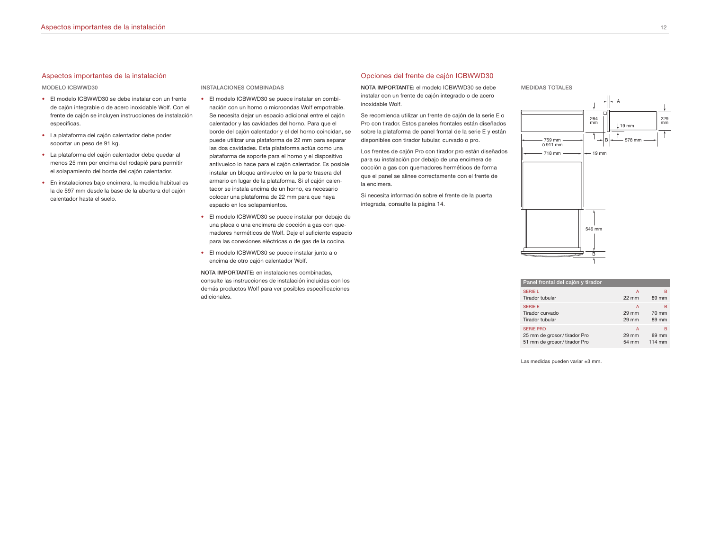#### Aspectos importantes de la instalación

#### **MODELO ICBWWD30**

- El modelo ICBWWD30 se debe instalar con un frente de cajón integrable o de acero inoxidable Wolf. Con el frente de cajón se incluyen instrucciones de instalación específicas.
- La plataforma del cajón calentador debe poder soportar un peso de 91 kg.
- La plataforma del cajón calentador debe quedar al menos 25 mm por encima del rodapié para permitir el solapamiento del borde del cajón calentador.
- En instalaciones bajo encimera, la medida habitual es la de 597 mm desde la base de la abertura del cajón calentador hasta el suelo.

#### **INSTALACIONES COMBINADAS**

- El modelo ICBWWD30 se puede instalar en combinación con un horno o microondas Wolf empotrable. Se necesita dejar un espacio adicional entre el cajón calentador y las cavidades del horno. Para que el borde del cajón calentador y el del horno coincidan, se puede utilizar una plataforma de 22 mm para separar las dos cavidades. Esta plataforma actúa como una plataforma de soporte para el horno y el dispositivo antivuelco lo hace para el cajón calentador. Es posible instalar un bloque antivuelco en la parte trasera del armario en lugar de la plataforma. Si el cajón calentador se instala encima de un horno, es necesario colocar una plataforma de 22 mm para que haya espacio en los solapamientos.
- El modelo ICBWWD30 se puede instalar por debajo de una placa o una encimera de cocción a gas con quemadores herméticos de Wolf. Deje el suficiente espacio para las conexiones eléctricas o de gas de la cocina.
- El modelo ICBWWD30 se puede instalar junto a o encima de otro cajón calentador Wolf.

**NOTA IMPORTANTE:** en instalaciones combinadas, consulte las instrucciones de instalación incluidas con los demás productos Wolf para ver posibles especificaciones adicionales.

# Opciones del frente de cajón ICBWWD30

**NOTA IMPORTANTE:** el modelo ICBWWD30 se debe instalar con un frente de cajón integrado o de acero inoxidable Wolf.

Se recomienda utilizar un frente de cajón de la serie E o Pro con tirador. Estos paneles frontales están diseñados sobre la plataforma de panel frontal de la serie E y están disponibles con tirador tubular, curvado o pro.

Los frentes de cajón Pro con tirador pro están diseñados para su instalación por debajo de una encimera de cocción a gas con quemadores herméticos de forma que el panel se alinee correctamente con el frente de la encimera.

Si necesita información sobre el frente de la puerta integrada, consulte la página 14.

**MEDIDAS TOTALES**



| Panel frontal del cajón y tirador |                 |        |
|-----------------------------------|-----------------|--------|
| SERIE L                           | A               | в      |
| Tirador tubular                   | $22 \text{ mm}$ | 89 mm  |
| <b>SERIE E</b>                    | A               | в      |
| Tirador curvado                   | 29 mm           | 70 mm  |
| Tirador tubular                   | 29 mm           | 89 mm  |
| <b>SERIE PRO</b>                  | A               | в      |
| 25 mm de grosor / tirador Pro     | 29 mm           | 89 mm  |
| 51 mm de grosor / tirador Pro     | 54 mm           | 114 mm |

Las medidas pueden variar ±3 mm.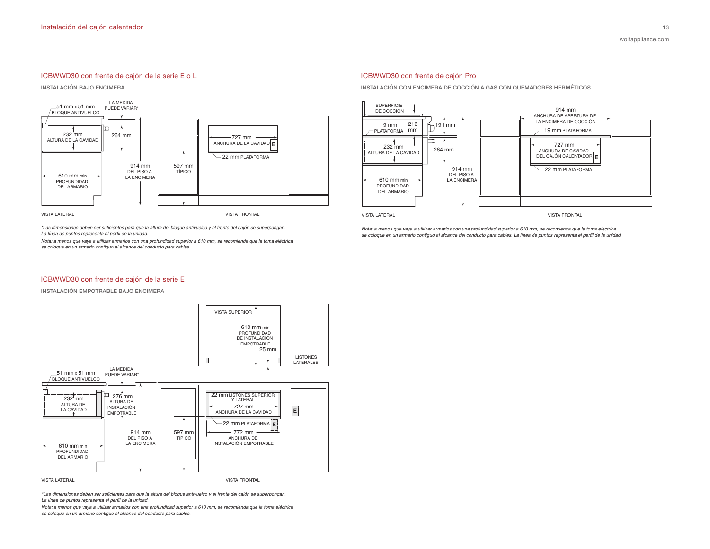# ICBWWD30 con frente de cajón de la serie E o L

**INSTALACIÓN BAJO ENCIMERA**



\*Las dimensiones deben ser suficientes para que la altura del bloque antivuelco y el frente del cajón se superpongan. La línea de puntos representa el perfil de la unidad.

*Nota: a menos que vaya a utilizar armarios con una profundidad superior a 610 mm, se recomienda que la toma eléctrica* se coloque en un armario contiguo al alcance del conducto para cables.

#### ICBWWD30 con frente de cajón Pro

**INSTALACIÓN CON ENCIMERA DE COCCIÓN A GAS CON QUEMADORES HERMÉTICOS**



**VISTA LATERAL** 

**VISTA FRONTAL** 

*Nota: a menos que vaya a utilizar armarios con una profundidad superior a 610 mm, se recomienda que la toma eléctrica* se coloque en un armario contiguo al alcance del conducto para cables. La línea de puntos representa el perfil de la unidad.

# ICBWWD30 con frente de cajón de la serie E

**INSTALACIÓN EMPOTRABLE BAJO ENCIMERA**



**VISTA LATERAL** 

VISTA FRONTAL

\*Las dimensiones deben ser suficientes para que la altura del bloque antivuelco y el frente del cajón se superpongan.<br>La línea de puntos representa el perfil de la unidad

*Nota: a menos que vaya a utilizar armarios con una profundidad superior a 610 mm, se recomienda que la toma eléctrica* se coloque en un armario contiguo al alcance del conducto para cables.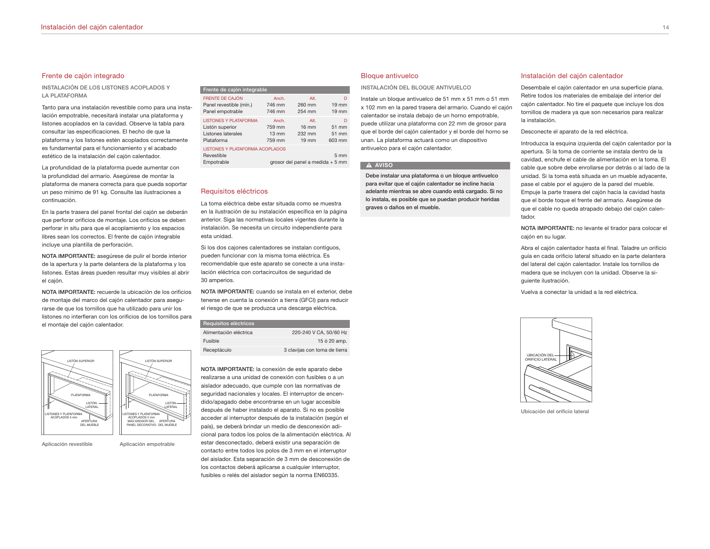# Frente de cajón integrado

**INSTALACIÓN DE LOS LISTONES ACOPLADOS Y LA PLATAFORMA**

Tanto para una instalación revestible como para una instalación empotrable, necesitará instalar una plataforma y listones acoplados en la cavidad. Observe la tabla para consultar las especificaciones. El hecho de que la plataforma y los listones estén acoplados correctamente es fundamental para el funcionamiento y el acabado estético de la instalación del cajón calentador.

La profundidad de la plataforma puede aumentar con la profundidad del armario. Asegúrese de montar la plataforma de manera correcta para que pueda soportar un peso mínimo de 91 kg. Consulte las ilustraciones a continuación.

En la parte trasera del panel frontal del cajón se deberán que perforar orificios de montaje. Los orificios se deben perforar in situ para que el acoplamiento y los espacios libres sean los correctos. El frente de cajón integrable incluye una plantilla de perforación.

**NOTA IMPORTANTE:** asegúrese de pulir el borde interior de la apertura y la parte delantera de la plataforma y los listones. Estas áreas pueden resultar muy visibles al abrir el cajón.

**NOTA IMPORTANTE:** recuerde la ubicación de los orificios de montaje del marco del cajón calentador para asegurarse de que los tornillos que ha utilizado para unir los listones no interfieran con los orificios de los tornillos para el montaje del cajón calentador.



**Aplicación revestible Aplicación empotrable**

**Frente de cajón integrable** FRENTE DE CAJÓN Anch. Anch. Alt. D Panel revestible (mín.) 746 mm 260 mm 19 mm Panel empotrable 746 mm 254 mm 19 mm LISTONES Y PLATAFORMA Anch. Alt. D<br>Listón superior 759 mm 16 mm 51 mm Listón superior 759 mm 16 mm Listones laterales 13 mm 232 mm 51 mm<br>Plataforma 759 mm 19 mm 603 mm

| Plataforma                      | 759 mm                           | $19 \text{ mm}$ | 603 mm         |
|---------------------------------|----------------------------------|-----------------|----------------|
| LISTONES Y PLATAFORMA ACOPLADOS |                                  |                 |                |
| Revestible                      |                                  |                 | $5 \text{ mm}$ |
| Empotrable                      | grosor del panel a medida + 5 mm |                 |                |

#### Requisitos eléctricos

La toma eléctrica debe estar situada como se muestra en la ilustración de su instalación específica en la página anterior. Siga las normativas locales vigentes durante la instalación. Se necesita un circuito independiente para esta unidad.

Si los dos cajones calentadores se instalan contiguos, pueden funcionar con la misma toma eléctrica. Es recomendable que este aparato se conecte a una instalación eléctrica con cortacircuitos de seguridad de 30 amperios.

**NOTA IMPORTANTE:** cuando se instala en el exterior, debe tenerse en cuenta la conexión a tierra (GFCI) para reducir el riesgo de que se produzca una descarga eléctrica.

| 220-240 V CA, 50/60 Hz        |
|-------------------------------|
| 15 ó 20 amp.                  |
| 3 clavijas con toma de tierra |
|                               |

**NOTA IMPORTANTE:** la conexión de este aparato debe realizarse a una unidad de conexión con fusibles o a un aislador adecuado, que cumple con las normativas de seguridad nacionales y locales. El interruptor de encendido/apagado debe encontrarse en un lugar accesible después de haber instalado el aparato. Si no es posible acceder al interruptor después de la instalación (según el país), se deberá brindar un medio de desconexión adicional para todos los polos de la alimentación eléctrica. Al estar desconectado, deberá existir una separación de contacto entre todos los polos de 3 mm en el interruptor del aislador. Esta separación de 3 mm de desconexión de los contactos deberá aplicarse a cualquier interruptor, fusibles o relés del aislador según la norma EN60335.

#### Bloque antivuelco

**INSTALACIÓN DEL BLOQUE ANTIVUELCO**

Instale un bloque antivuelco de 51 mm x 51 mm o 51 mm x 102 mm en la pared trasera del armario. Cuando el cajón calentador se instala debajo de un horno empotrable, puede utilizar una plataforma con 22 mm de grosor para que el borde del cajón calentador y el borde del horno se unan. La plataforma actuará como un dispositivo antivuelco para el cajón calentador.

#### **A** AVISO

**Debe instalar una plataforma o un bloque antivuelco para evitar que el cajón calentador se incline hacia adelante mientras se abre cuando está cargado. Si no lo instala, es posible que se puedan producir heridas graves o daños en el mueble.**

#### Instalación del cajón calentador

Desembale el cajón calentador en una superficie plana. Retire todos los materiales de embalaje del interior del cajón calentador. No tire el paquete que incluye los dos tornillos de madera ya que son necesarios para realizar la instalación.

Desconecte el aparato de la red eléctrica.

Introduzca la esquina izquierda del cajón calentador por la apertura. Si la toma de corriente se instala dentro de la cavidad, enchufe el cable de alimentación en la toma. El cable que sobre debe enrollarse por detrás o al lado de la unidad. Si la toma está situada en un mueble adyacente, pase el cable por el agujero de la pared del mueble. Empuje la parte trasera del cajón hacia la cavidad hasta que el borde toque el frente del armario. Asegúrese de que el cable no queda atrapado debajo del cajón calentador.

**NOTA IMPORTANTE:** no levante el tirador para colocar el cajón en su lugar.

Abra el cajón calentador hasta el final. Taladre un orificio guía en cada orificio lateral situado en la parte delantera del lateral del cajón calentador. Instale los tornillos de madera que se incluyen con la unidad. Observe la siguiente ilustración.

Vuelva a conectar la unidad a la red eléctrica.



**Ubicación del orificio lateral**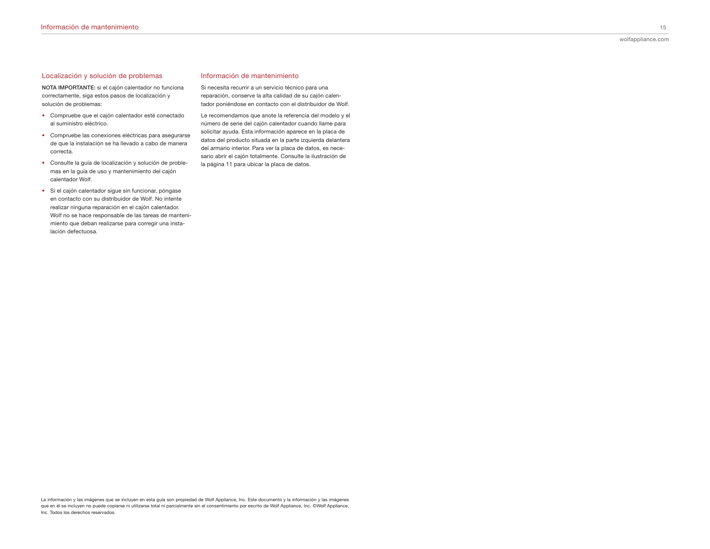# Localización y solución de problemas

**NOTA IMPORTANTE:** si el cajón calentador no funciona correctamente, siga estos pasos de localización y solución de problemas:

- Compruebe que el cajón calentador esté conectado al suministro eléctrico.
- Compruebe las conexiones eléctricas para asegurarse de que la instalación se ha llevado a cabo de manera correcta.
- Consulte la guía de localización y solución de problemas en la guía de uso y mantenimiento del cajón calentador Wolf.
- Si el cajón calentador sigue sin funcionar, póngase en contacto con su distribuidor de Wolf. No intente realizar ninguna reparación en el cajón calentador. Wolf no se hace responsable de las tareas de mantenimiento que deban realizarse para corregir una instalación defectuosa.

# Información de mantenimiento

Si necesita recurrir a un servicio técnico para una reparación, conserve la alta calidad de su cajón calentador poniéndose en contacto con el distribuidor de Wolf.

Le recomendamos que anote la referencia del modelo y el número de serie del cajón calentador cuando llame para solicitar ayuda. Esta información aparece en la placa de datos del producto situada en la parte izquierda delantera del armario interior. Para ver la placa de datos, es necesario abrir el cajón totalmente. Consulte la ilustración de la página 11 para ubicar la placa de datos.

La información y las imágenes que se incluyen en esta guía son propiedad de Wolf Appliance, Inc. Este documento y la información y las imágenes que en él se incluyen no puede copiarse ni utilizarse total ni parcialmente sin el consentimiento por escrito de Wolf Appliance, Inc. ©Wolf Appliance, Inc. Todos los derechos reservados.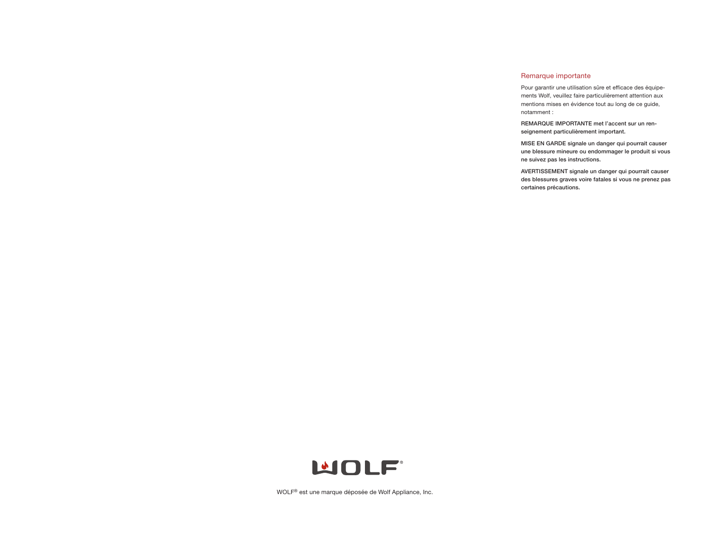# Remarque importante

Pour garantir une utilisation sûre et efficace des équipements Wolf, veuillez faire particulièrement attention aux mentions mises en évidence tout au long de ce guide, notamment :

**REMARQUE IMPORTANTE met l'accent sur un renseignement particulièrement important.**

**MISE EN GARDE signale un danger qui pourrait causer une blessure mineure ou endommager le produit si vous ne suivez pas les instructions.**

**AVERTISSEMENT signale un danger qui pourrait causer des blessures graves voire fatales si vous ne prenez pas certaines précautions.**



WOLF® est une marque déposée de Wolf Appliance, Inc.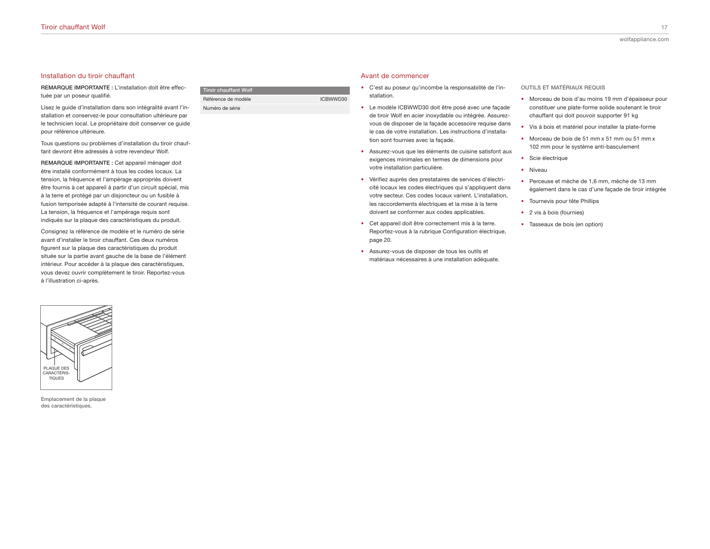# Installation du tiroir chauffant

**REMARQUE IMPORTANTE :** L'installation doit être effectuée par un poseur qualifié.

Lisez le guide d'installation dans son intégralité avant l'installation et conservez-le pour consultation ultérieure par le technicien local. Le propriétaire doit conserver ce guide pour référence ultérieure.

Tous questions ou problèmes d'installation du tiroir chauffant devront être adressés à votre revendeur Wolf.

**REMARQUE IMPORTANTE :** Cet appareil ménager doit être installé conformément à tous les codes locaux. La tension, la fréquence et l'ampérage appropriés doivent être fournis à cet appareil à partir d'un circuit spécial, mis à la terre et protégé par un disjoncteur ou un fusible à fusion temporisée adapté à l'intensité de courant requise. La tension, la fréquence et l'ampérage requis sont indiqués sur la plaque des caractéristiques du produit.

Consignez la référence de modèle et le numéro de série avant d'installer le tiroir chauffant. Ces deux numéros figurent sur la plaque des caractéristiques du produit située sur la partie avant gauche de la base de l'élément intérieur. Pour accéder à la plaque des caractéristiques, vous devez ouvrir complètement le tiroir. Reportez-vous à l'illustration ci-après.



**Emplacement de la plaque des caractéristiques.**

| Tiroir chauffant Wolf |          |
|-----------------------|----------|
| Référence de modèle   | ICBWWD30 |
| Numéro de série       |          |

#### Avant de commencer

- C'est au poseur qu'incombe la responsabilité de l'installation.
- Le modèle ICBWWD30 doit être posé avec une façade de tiroir Wolf en acier inoxydable ou intégrée. Assurezvous de disposer de la façade accessoire requise dans le cas de votre installation. Les instructions d'installation sont fournies avec la façade.
- Assurez-vous que les éléments de cuisine satisfont aux exigences minimales en termes de dimensions pour votre installation particulière.
- Vérifiez auprès des prestataires de services d'électricité locaux les codes électriques qui s'appliquent dans votre secteur. Ces codes locaux varient. L'installation, les raccordements électriques et la mise à la terre doivent se conformer aux codes applicables.
- Cet appareil doit être correctement mis à la terre. Reportez-vous à la rubrique Configuration électrique, page 20.
- Assurez-vous de disposer de tous les outils et matériaux nécessaires à une installation adéquate.

**OUTILS ET MATÉRIAUX REQUIS**

- Morceau de bois d'au moins 19 mm d'épaisseur pour constituer une plate-forme solide soutenant le tiroir chauffant qui doit pouvoir supporter 91 kg
- Vis à bois et matériel pour installer la plate-forme
- Morceau de bois de 51 mm x 51 mm ou 51 mm x 102 mm pour le système anti-basculement
- Scie électrique
- Niveau
- Perceuse et mèche de 1,6 mm, mèche de 13 mm également dans le cas d'une façade de tiroir intégrée
- Tournevis pour tête Phillips
- 2 vis à bois (fournies)
- Tasseaux de bois (en option)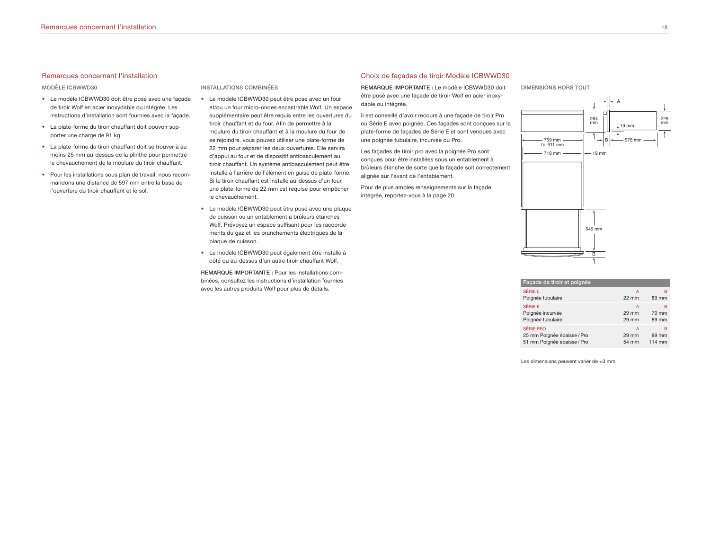#### Remarques concernant l'installation

#### **MODÈLE ICBWWD30**

- Le modèle ICBWWD30 doit être posé avec une façade de tiroir Wolf en acier inoxydable ou intégrée. Les instructions d'installation sont fournies avec la façade.
- La plate-forme du tiroir chauffant doit pouvoir supporter une charge de 91 kg.
- La plate-forme du tiroir chauffant doit se trouver à au moins 25 mm au-dessus de la plinthe pour permettre le chevauchement de la moulure du tiroir chauffant.
- Pour les installations sous plan de travail, nous recommandons une distance de 597 mm entre la base de l'ouverture du tiroir chauffant et le sol.

#### **INSTALLATIONS COMBINÉES**

- Le modèle ICBWWD30 peut être posé avec un four et/ou un four micro-ondes encastrable Wolf. Un espace supplémentaire peut être requis entre les ouvertures du tiroir chauffant et du four. Afin de permettre à la moulure du tiroir chauffant et à la moulure du four de se rejoindre, vous pouvez utiliser une plate-forme de 22 mm pour séparer les deux ouvertures. Elle servira d'appui au four et de dispositif antibasculement au tiroir chauffant. Un système antibasculement peut être installé à l'arrière de l'élément en guise de plate-forme. Si le tiroir chauffant est installé au-dessus d'un four, une plate-forme de 22 mm est requise pour empêcher le chevauchement.
- Le modèle ICBWWD30 peut être posé avec une plaque de cuisson ou un entablement à brûleurs étanches Wolf. Prévoyez un espace suffisant pour les raccordements du gaz et les branchements électriques de la plaque de cuisson.
- Le modèle ICBWWD30 peut également être installé à côté ou au-dessus d'un autre tiroir chauffant Wolf.

**REMARQUE IMPORTANTE :** Pour les installations combinées, consultez les instructions d'installation fournies avec les autres produits Wolf pour plus de détails.

#### Choix de façades de tiroir Modèle ICBWWD30

**REMARQUE IMPORTANTE :** Le modèle ICBWWD30 doit être posé avec une façade de tiroir Wolf en acier inoxydable ou intégrée.

Il est conseillé d'avoir recours à une façade de tiroir Pro ou Série E avec poignée. Ces façades sont conçues sur la plate-forme de façades de Série E et sont vendues avec une poignée tubulaire, incurvée ou Pro.

Les façades de tiroir pro avec la poignée Pro sont conçues pour être installées sous un entablement à brûleurs étanche de sorte que la façade soit correctement alignée sur l'avant de l'entablement.

Pour de plus amples renseignements sur la façade intégrée, reportez-vous à la page 20.

**DIMENSIONS HORS TOUT**



| Facade de tiroir et poignée |                 |        |
|-----------------------------|-----------------|--------|
| SÉRIE L                     | А               | в      |
| Poignée tubulaire           | $22 \text{ mm}$ | 89 mm  |
| SÉRIE E                     | А               | в      |
| Poignée incurvée            | 29 mm           | 70 mm  |
| Poignée tubulaire           | 29 mm           | 89 mm  |
| SÉRIE PRO                   | А               | в      |
| 25 mm Poignée épaisse / Pro | 29 mm           | 89 mm  |
| 51 mm Poignée épaisse / Pro | 54 mm           | 114 mm |

Les dimensions peuvent varier de ±3 mm.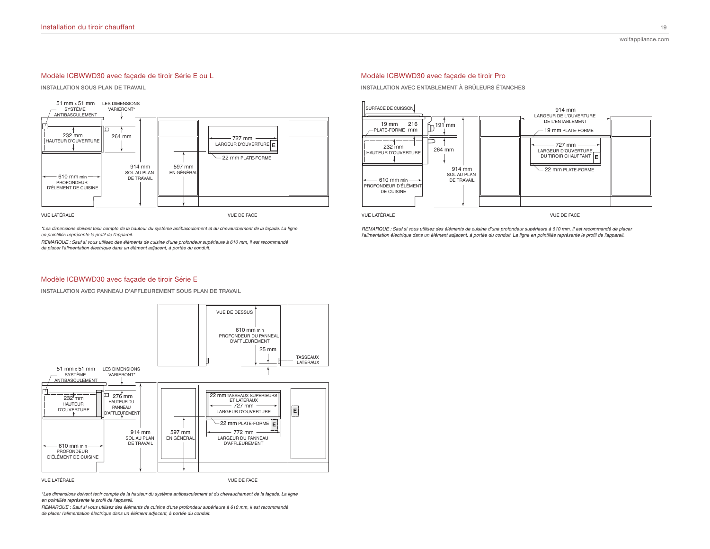# Modèle ICBWWD30 avec façade de tiroir Série E ou L

**INSTALLATION SOUS PLAN DE TRAVAIL**



\*Les dimensions doivent tenir compte de la hauteur du système antibasculement et du chevauchement de la façade. La ligne en pointillés représente le profil de l'appareil.

REMARQUE : Sauf si vous utilisez des éléments de cuisine d'une profondeur supérieure à 610 mm, il est recommandé de placer l'alimentation électrique dans un élément adjacent, à portée du conduit.

# Modèle ICBWWD30 avec façade de tiroir Pro

**INSTALLATION AVEC ENTABLEMENT À BRÛLEURS ÉTANCHES**



**VUE LATÉRALE** 

VUE DE FACE

REMARQUE : Sauf si vous utilisez des éléments de cuisine d'une profondeur supérieure à 610 mm, il est recommandé de placer l'alimentation électrique dans un élément adjacent, à portée du conduit. La ligne en pointillés représente le profil de l'appareil.

### Modèle ICBWWD30 avec façade de tiroir Série E

**INSTALLATION AVEC PANNEAU D'AFFLEUREMENT SOUS PLAN DE TRAVAIL**



VUE LATÉRALE

VHE DE FACE

\*Les dimensions doivent tenir compte de la hauteur du système antibasculement et du chevauchement de la façade. La ligne<br>en pointiliés représente le profil de l'appareil.

*REMARQUE : Sauf si vous utilisez des éléments de cuisine d'une profondeur supérieure à 610 mm, il est recommandé* de placer l'alimentation électrique dans un élément adjacent, à portée du conduit.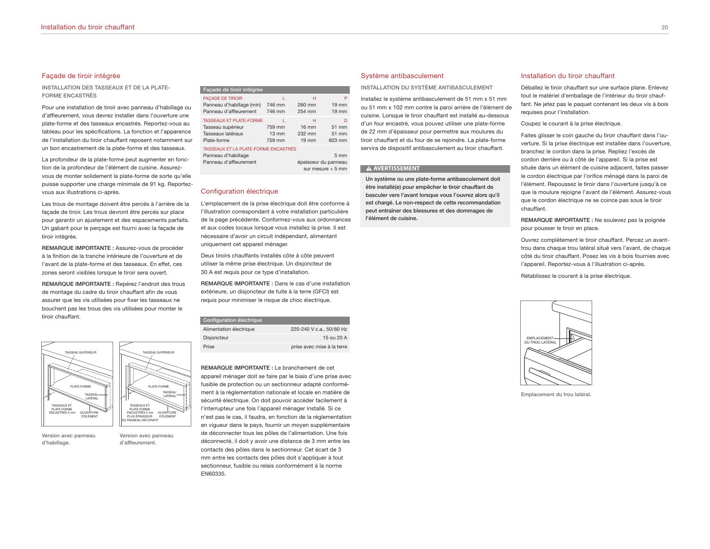# Façade de tiroir intégrée

**INSTALLATION DES TASSEAUX ET DE LA PLATE-FORME ENCASTRÉS**

Pour une installation de tiroir avec panneau d'habillage ou d'affleurement, vous devrez installer dans l'ouverture une plate-forme et des tasseaux encastrés. Reportez-vous au tableau pour les spécifications. La fonction et l'apparence de l'installation du tiroir chauffant reposent notamment sur un bon encastrement de la plate-forme et des tasseaux.

La profondeur de la plate-forme peut augmenter en fonction de la profondeur de l'élément de cuisine. Assurezvous de monter solidement la plate-forme de sorte qu'elle puisse supporter une charge minimale de 91 kg. Reportezvous aux illustrations ci-après.

Les trous de montage doivent être percés à l'arrière de la façade de tiroir. Les trous devront être percés sur place pour garantir un ajustement et des espacements parfaits. Un gabarit pour le perçage est fourni avec la façade de tiroir intégrée.

**REMARQUE IMPORTANTE :** Assurez-vous de procéder à la finition de la tranche intérieure de l'ouverture et de l'avant de la plate-forme et des tasseaux. En effet, ces zones seront visibles lorsque le tiroir sera ouvert.

**REMARQUE IMPORTANTE :** Repérez l'endroit des trous de montage du cadre du tiroir chauffant afin de vous assurer que les vis utilisées pour fixer les tasseaux ne bouchent pas les trous des vis utilisées pour monter le tiroir chauffant.



**Version avec panneau d'habillage.**

**Version avec panneau d'affleurement.**

| Facade de tiroir intégrée                                                                                                        |                                     |                                                   |                                         |
|----------------------------------------------------------------------------------------------------------------------------------|-------------------------------------|---------------------------------------------------|-----------------------------------------|
| <b>FACADE DE TIROIR</b><br>Panneau d'habillage (min)<br>Panneau d'affleurement                                                   | ı.<br>746 mm<br>746 mm              | н<br>260 mm<br>254 mm                             | P<br>$19 \text{ mm}$<br>$19 \text{ mm}$ |
| <b>TASSFAUX FT PLATE-FORME</b><br>Tasseau supérieur<br>Tasseaux latéraux<br>Plate-forme                                          | 759 mm<br>$13 \text{ mm}$<br>759 mm | н<br>$16 \text{ mm}$<br>232 mm<br>$19 \text{ mm}$ | D<br>51 mm<br>51 mm<br>603 mm           |
| TASSEAUX ET LA PLATE-FORME ENCASTRÉS<br>Panneau d'habillage<br>5 <sub>mm</sub><br>Panneau d'affleurement<br>épaisseur du panneau |                                     |                                                   |                                         |

sur mesure + 5 mm

#### Configuration électrique

L'emplacement de la prise électrique doit être conforme à l'illustration correspondant à votre installation particulière de la page précédente. Conformez-vous aux ordonnances et aux codes locaux lorsque vous installez la prise. Il est nécessaire d'avoir un circuit indépendant, alimentant uniquement cet appareil ménager.

Deux tiroirs chauffants installés côte à côte peuvent utiliser la même prise électrique. Un disjoncteur de 30 A est requis pour ce type d'installation.

**REMARQUE IMPORTANTE :** Dans le cas d'une installation extérieure, un disjoncteur de fuite à la terre (GFCI) est requis pour minimiser le risque de choc électrique.

| 220-240 V c.a., 50/60 Hz   |
|----------------------------|
| 15 ou 20 A                 |
| prise avec mise à la terre |
|                            |

**REMARQUE IMPORTANTE :** Le branchement de cet appareil ménager doit se faire par le biais d'une prise avec fusible de protection ou un sectionneur adapté conformément à la règlementation nationale et locale en matière de sécurité électrique. On doit pouvoir accéder facilement à l'interrupteur une fois l'appareil ménager installé. Si ce n'est pas le cas, il faudra, en fonction de la réglementation en vigueur dans le pays, fournir un moyen supplémentaire de déconnecter tous les pôles de l'alimentation. Une fois déconnecté, il doit y avoir une distance de 3 mm entre les contacts des pôles dans le sectionneur. Cet écart de 3 mm entre les contacts des pôles doit s'appliquer à tout sectionneur, fusible ou relais conformément à la norme EN60335.

#### Système antibasculement

**INSTALLATION DU SYSTÈME ANTIBASCULEMENT**

Installez le système antibasculement de 51 mm x 51 mm ou 51 mm x 102 mm contre la paroi arrière de l'élément de cuisine. Lorsque le tiroir chauffant est installé au-dessous d'un four encastré, vous pouvez utiliser une plate-forme de 22 mm d'épaisseur pour permettre aux moulures du tiroir chauffant et du four de se rejoindre. La plate-forme servira de dispositif antibasculement au tiroir chauffant.

#### **A AVERTISSEMENT**

**Un système ou une plate-forme antibasculement doit être installé(e) pour empêcher le tiroir chauffant de basculer vers l'avant lorsque vous l'ouvrez alors qu'il est chargé. Le non-respect de cette recommandation peut entraîner des blessures et des dommages de l'élément de cuisine.**

#### Installation du tiroir chauffant

Déballez le tiroir chauffant sur une surface plane. Enlevez tout le matériel d'emballage de l'intérieur du tiroir chauffant. Ne jetez pas le paquet contenant les deux vis à bois requises pour l'installation.

Coupez le courant à la prise électrique.

Faites glisser le coin gauche du tiroir chauffant dans l'ouverture. Si la prise électrique est installée dans l'ouverture, branchez le cordon dans la prise. Repliez l'excès de cordon derrière ou à côté de l'appareil. Si la prise est située dans un élément de cuisine adjacent, faites passer le cordon électrique par l'orifice ménagé dans la paroi de l'élément. Repoussez le tiroir dans l'ouverture jusqu'à ce que la moulure rejoigne l'avant de l'élément. Assurez-vous que le cordon électrique ne se coince pas sous le tiroir chauffant.

**REMARQUE IMPORTANTE :** Ne soulevez pas la poignée pour pousser le tiroir en place.

Ouvrez complètement le tiroir chauffant. Percez un avanttrou dans chaque trou latéral situé vers l'avant, de chaque côté du tiroir chauffant. Posez les vis à bois fournies avec l'appareil. Reportez-vous à l'illustration ci-après.

Rétablissez le courant à la prise électrique.



**Emplacement du trou latéral.**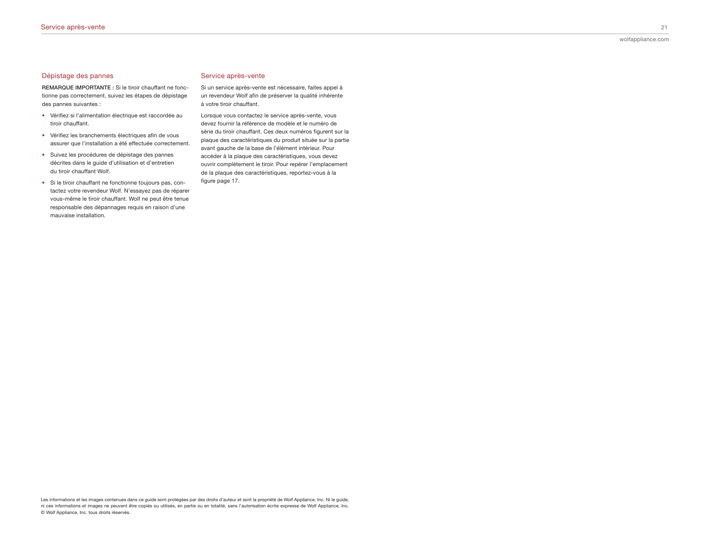**REMARQUE IMPORTANTE :** Si le tiroir chauffant ne fonctionne pas correctement, suivez les étapes de dépistage des pannes suivantes :

- Vérifiez si l'alimentation électrique est raccordée au tiroir chauffant.
- Vérifiez les branchements électriques afin de vous assurer que l'installation a été effectuée correctement.
- Suivez les procédures de dépistage des pannes décrites dans le guide d'utilisation et d'entretien du tiroir chauffant Wolf.
- Si le tiroir chauffant ne fonctionne toujours pas, contactez votre revendeur Wolf. N'essayez pas de réparer vous-même le tiroir chauffant. Wolf ne peut être tenue responsable des dépannages requis en raison d'une mauvaise installation.

#### Service après-vente

Si un service après-vente est nécessaire, faites appel à un revendeur Wolf afin de préserver la qualité inhérente à votre tiroir chauffant.

Lorsque vous contactez le service après-vente, vous devez fournir la référence de modèle et le numéro de série du tiroir chauffant. Ces deux numéros figurent sur la plaque des caractéristiques du produit située sur la partie avant gauche de la base de l'élément intérieur. Pour accéder à la plaque des caractéristiques, vous devez ouvrir complètement le tiroir. Pour repérer l'emplacement de la plaque des caractéristiques, reportez-vous à la figure page 17.

Les informations et les images contenues dans ce guide sont protégées par des droits d'auteur et sont la propriété de Wolf Appliance, Inc. Ni le guide, ni ces informations et images ne peuvent être copiés ou utilisés, en partie ou en totalité, sans l'autorisation écrite expresse de Wolf Appliance, Inc. © Wolf Appliance, Inc. tous droits réservés.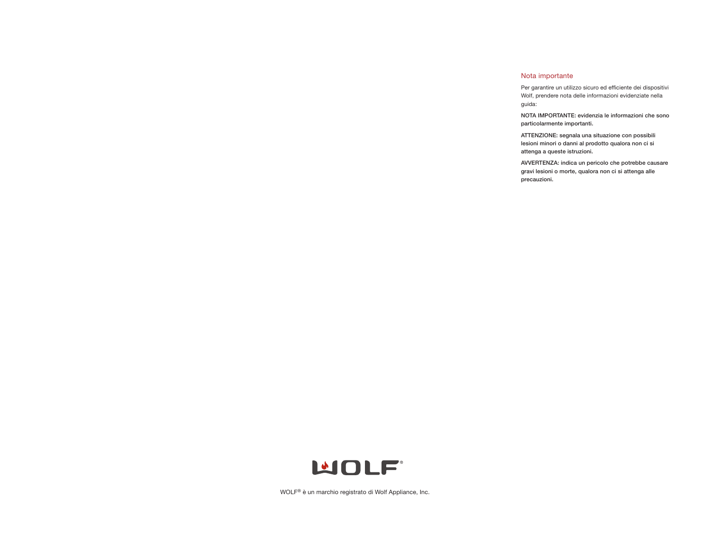# Nota importante

Per garantire un utilizzo sicuro ed efficiente dei dispositivi Wolf, prendere nota delle informazioni evidenziate nella guida:

**NOTA IMPORTANTE: evidenzia le informazioni che sono particolarmente importanti.**

**ATTENZIONE: segnala una situazione con possibili lesioni minori o danni al prodotto qualora non ci si attenga a queste istruzioni.**

**AVVERTENZA: indica un pericolo che potrebbe causare gravi lesioni o morte, qualora non ci si attenga alle precauzioni.**



WOLF® è un marchio registrato di Wolf Appliance, Inc.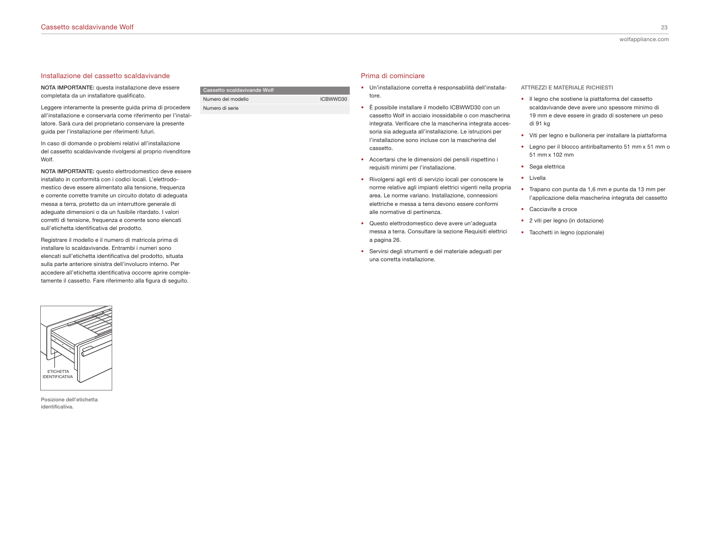#### Installazione del cassetto scaldavivande

**NOTA IMPORTANTE:** questa installazione deve essere completata da un installatore qualificato.

Leggere interamente la presente guida prima di procedere all'installazione e conservarla come riferimento per l'installatore. Sarà cura del proprietario conservare la presente guida per l'installazione per riferimenti futuri.

In caso di domande o problemi relativi all'installazione del cassetto scaldavivande rivolgersi al proprio rivenditore Wolf.

**NOTA IMPORTANTE:** questo elettrodomestico deve essere installato in conformità con i codici locali. L'elettrodomestico deve essere alimentato alla tensione, frequenza e corrente corrette tramite un circuito dotato di adeguata messa a terra, protetto da un interruttore generale di adeguate dimensioni o da un fusibile ritardato. I valori corretti di tensione, frequenza e corrente sono elencati sull'etichetta identificativa del prodotto.

Registrare il modello e il numero di matricola prima di installare lo scaldavivande. Entrambi i numeri sono elencati sull'etichetta identificativa del prodotto, situata sulla parte anteriore sinistra dell'involucro interno. Per accedere all'etichetta identificativa occorre aprire completamente il cassetto. Fare riferimento alla figura di seguito.



**Posizione dell'etichetta identificativa.**

# **Cassetto** scaldavivande **W** Numero del modello **ICBWWD30** Numero di serie

# Prima di cominciare

- Un'installazione corretta è responsabilità dell'installatore.
- È possibile installare il modello ICBWWD30 con un cassetto Wolf in acciaio inossidabile o con mascherina integrata. Verificare che la mascherina integrata accessoria sia adeguata all'installazione. Le istruzioni per l'installazione sono incluse con la mascherina del cassetto.
- Accertarsi che le dimensioni dei pensili rispettino i requisiti minimi per l'installazione.
- Rivolgersi agli enti di servizio locali per conoscere le norme relative agli impianti elettrici vigenti nella propria area. Le norme variano. Installazione, connessioni elettriche e messa a terra devono essere conformi alle normative di pertinenza.
- Questo elettrodomestico deve avere un'adeguata messa a terra. Consultare la sezione Requisiti elettrici a pagina 26.
- Servirsi degli strumenti e del materiale adeguati per una corretta installazione.

**ATTREZZI E MATERIALE RICHIESTI**

- Il legno che sostiene la piattaforma del cassetto scaldavivande deve avere uno spessore minimo di 19 mm e deve essere in grado di sostenere un peso di 91 kg
- Viti per legno e bulloneria per installare la piattaforma
- Legno per il blocco antiribaltamento 51 mm x 51 mm o 51 mm x 102 mm
- Sega elettrica
- Livella
- Trapano con punta da 1,6 mm e punta da 13 mm per l'applicazione della mascherina integrata del cassetto
- Cacciavite a croce
- 2 viti per legno (in dotazione)
- Tacchetti in legno (opzionale)

wolfappliance.com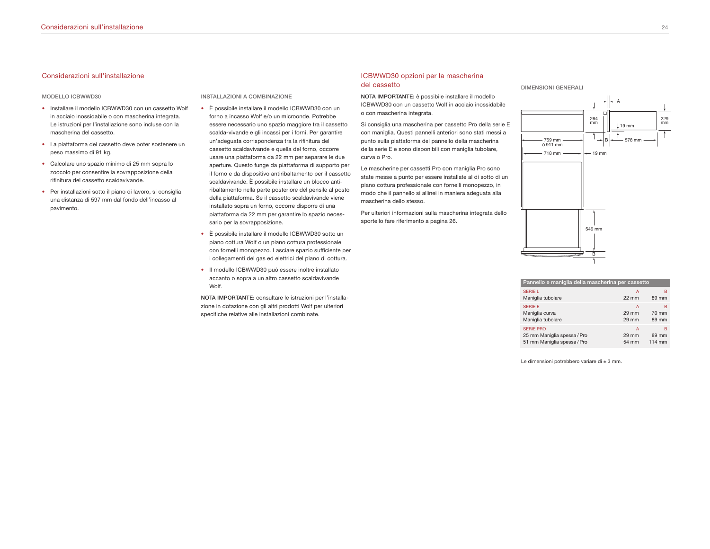# Considerazioni sull'installazione

#### **MODELLO ICBWWD30**

- Installare il modello ICBWWD30 con un cassetto Wolf in acciaio inossidabile o con mascherina integrata. Le istruzioni per l'installazione sono incluse con la mascherina del cassetto.
- La piattaforma del cassetto deve poter sostenere un peso massimo di 91 kg.
- Calcolare uno spazio minimo di 25 mm sopra lo zoccolo per consentire la sovrapposizione della rifinitura del cassetto scaldavivande.
- Per installazioni sotto il piano di lavoro, si consiglia una distanza di 597 mm dal fondo dell'incasso al pavimento.

**INSTALLAZIONI A COMBINAZIONE**

- È possibile installare il modello ICBWWD30 con un forno a incasso Wolf e/o un microonde. Potrebbe essere necessario uno spazio maggiore tra il cassetto scalda-vivande e gli incassi per i forni. Per garantire un'adeguata corrispondenza tra la rifinitura del cassetto scaldavivande e quella del forno, occorre usare una piattaforma da 22 mm per separare le due aperture. Questo funge da piattaforma di supporto per il forno e da dispositivo antiribaltamento per il cassetto scaldavivande. È possibile installare un blocco antiribaltamento nella parte posteriore del pensile al posto della piattaforma. Se il cassetto scaldavivande viene installato sopra un forno, occorre disporre di una piattaforma da 22 mm per garantire lo spazio necessario per la sovrapposizione.
- È possibile installare il modello ICBWWD30 sotto un piano cottura Wolf o un piano cottura professionale con fornelli monopezzo. Lasciare spazio sufficiente per i collegamenti del gas ed elettrici del piano di cottura.
- Il modello ICBWWD30 può essere inoltre installato accanto o sopra a un altro cassetto scaldavivande Wolf.

**NOTA IMPORTANTE:** consultare le istruzioni per l'installazione in dotazione con gli altri prodotti Wolf per ulteriori specifiche relative alle installazioni combinate.

# ICBWWD30 opzioni per la mascherina del cassetto

**NOTA IMPORTANTE:** è possibile installare il modello ICBWWD30 con un cassetto Wolf in acciaio inossidabile o con mascherina integrata.

Si consiglia una mascherina per cassetto Pro della serie E con maniglia. Questi pannelli anteriori sono stati messi a punto sulla piattaforma del pannello della mascherina della serie E e sono disponibili con maniglia tubolare, curva o Pro.

Le mascherine per cassetti Pro con maniglia Pro sono state messe a punto per essere installate al di sotto di un piano cottura professionale con fornelli monopezzo, in modo che il pannello si allinei in maniera adeguata alla mascherina dello stesso.

Per ulteriori informazioni sulla mascherina integrata dello sportello fare riferimento a pagina 26.





| Pannello e maniglia della mascherina per cassetto |                 |        |
|---------------------------------------------------|-----------------|--------|
| <b>SERIE L</b>                                    | А               | в      |
| Maniglia tubolare                                 | $22 \text{ mm}$ | 89 mm  |
| <b>SERIE E</b>                                    | A               | в      |
| Maniglia curva                                    | 29 mm           | 70 mm  |
| Maniglia tubolare                                 | 29 mm           | 89 mm  |
| <b>SERIE PRO</b>                                  | A               | в      |
| 25 mm Maniglia spessa / Pro                       | 29 mm           | 89 mm  |
| 51 mm Maniglia spessa / Pro                       | 54 mm           | 114 mm |

Le dimensioni potrebbero variare di ± 3 mm.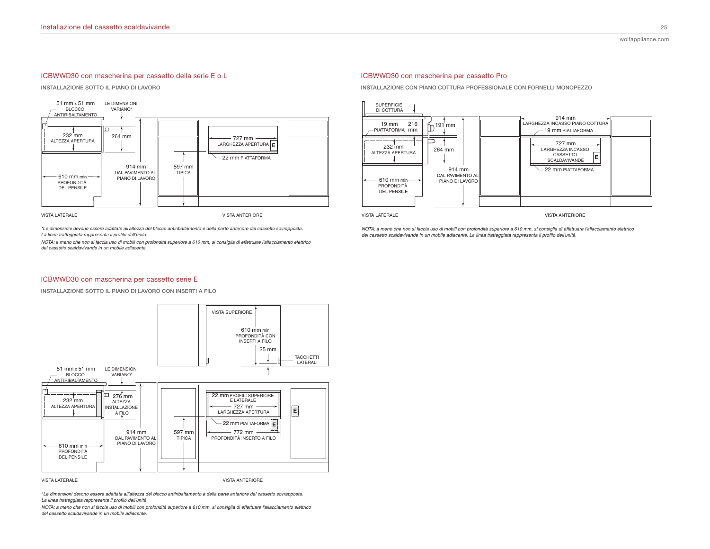# ICBWWD30 con mascherina per cassetto della serie E o L

**INSTALLAZIONE SOTTO IL PIANO DI LAVORO**



VISTA LATERALE

\*Le dimensioni devono essere adattate all'altezza del blocco antiribaltamento e della parte anteriore del cassetto sovrapposta.<br>La linea tratteggiata rappresenta il profilo dell'unità.

*NOTA: a meno che non si faccia uso di mobili con profondità superiore a 610 mm, si consiglia di effettuare l'allacciamento elettrico* del cassetto scaldavivande in un mobile adiacente.

#### ICBWWD30 con mascherina per cassetto Pro

**INSTALLAZIONE CON PIANO COTTURA PROFESSIONALE CON FORNELLI MONOPEZZO**



**VISTA LATERALE** 

**VISTA ANTERIORE** 

*NOTA: a meno che non si faccia uso di mobili con profondità superiore a 610 mm, si consiglia di effettuare l'allacciamento elettrico* del cassetto scaldavivande in un mobile adiacente. La linea tratteggiata rappresenta il profilo dell'unità.

#### ICBWWD30 con mascherina per cassetto serie E

**INSTALLAZIONE SOTTO IL PIANO DI LAVORO CON INSERTI A FILO**



VISTA LATERALE

VISTA ANTERIORE

\*Le dimensioni devono essere adattate all'altezza del blocco antiribaltamento e della parte anteriore del cassetto sovrapposta.<br>La linea tratteggiata rappresenta il profilo dell'unità.

*NOTA: a meno che non si faccia uso di mobili con profondità superiore a 610 mm, si consiglia di effettuare l'allacciamento elettrico* del cassetto scaldavivande in un mobile adjacente.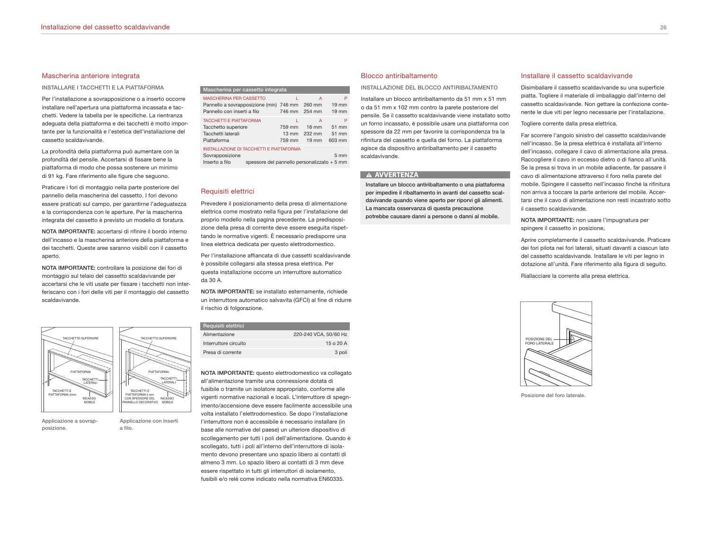#### Mascherina anteriore integrata

**INSTALLARE I TACCHETTI E LA PIATTAFORMA**

Per l'installazione a sovrapposizione o a inserto occorre installare nell'apertura una piattaforma incassata e tacchetti. Vedere la tabella per le specifiche. La rientranza adeguata della piattaforma e dei tacchetti è molto importante per la funzionalità e l'estetica dell'installazione del cassetto scaldavivande.

La profondità della piattaforma può aumentare con la profondità del pensile. Accertarsi di fissare bene la piattaforma di modo che possa sostenere un minimo di 91 kg. Fare riferimento alle figure che seguono.

Praticare i fori di montaggio nella parte posteriore del pannello della mascherina del cassetto. I fori devono essere praticati sul campo, per garantirne l'adeguatezza e la corrispondenza con le aperture. Per la mascherina integrata del cassetto è previsto un modello di foratura.

**NOTA IMPORTANTE:** accertarsi di rifinire il bordo interno dell'incasso e la mascherina anteriore della piattaforma e dei tacchetti. Queste aree saranno visibili con il cassetto aperto.

**NOTA IMPORTANTE:** controllare la posizione dei fori di montaggio sul telaio del cassetto scaldavivande per accertarsi che le viti usate per fissare i tacchetti non interferiscano con i fori delle viti per il montaggio del cassetto scaldavivande.



**Applicazione a sovrapposizione.**

**Applicazione con inserti a filo.**

**Mascherina per cassetto integrata**

| <b>MASCHERINA PER CASSETTO</b><br>Pannello a sovrapposizione (min) 746 mm 260 mm<br>Pannello con inserti a filo                                 |                                     | А<br>746 mm 254 mm                                | P<br>$19 \text{ mm}$<br>$19 \text{ mm}$ |
|-------------------------------------------------------------------------------------------------------------------------------------------------|-------------------------------------|---------------------------------------------------|-----------------------------------------|
| <b>TACCHETTI E PIATTAFORMA</b><br>Tacchetto superiore<br>Tacchetti laterali<br>Piattaforma                                                      | 759 mm<br>$13 \text{ mm}$<br>759 mm | А<br>$16 \text{ mm}$<br>232 mm<br>$19 \text{ mm}$ | P<br>51 mm<br>51 mm<br>603 mm           |
| INSTALLAZIONE DI TACCHETTI E PIATTAFORMA<br>Sovrapposizione<br>5 <sub>mm</sub><br>spessore del pannello personalizzato + 5 mm<br>Inserto a filo |                                     |                                                   |                                         |

#### Requisiti elettrici

Prevedere il posizionamento della presa di alimentazione elettrica come mostrato nella figura per l'installazione del proprio modello nella pagina precedente. La predisposizione della presa di corrente deve essere eseguita rispettando le normative vigenti. È necessario predisporre una linea elettrica dedicata per questo elettrodomestico.

Per l'installazione affiancata di due cassetti scaldavivande è possibile collegarsi alla stessa presa elettrica. Per questa installazione occorre un interruttore automatico da 30 A.

**NOTA IMPORTANTE:** se installato esternamente, richiede un interruttore automatico salvavita (GFCI) al fine di ridurre il rischio di folgorazione.

| Requisiti elettrici   |                       |
|-----------------------|-----------------------|
| Alimentazione         | 220-240 VCA, 50/60 Hz |
| Interruttore circuito | 15020A                |
| Presa di corrente     | 3 poli                |

**NOTA IMPORTANTE:** questo elettrodomestico va collegato all'alimentazione tramite una connessione dotata di fusibile o tramite un isolatore appropriato, conforme alle vigenti normative nazionali e locali. L'interruttore di spegnimento/accensione deve essere facilmente accessibile una volta installato l'elettrodomestico. Se dopo l'installazione l'interruttore non è accessibile è necessario installare (in base alle normative del paese) un ulteriore dispositivo di scollegamento per tutti i poli dell'alimentazione. Quando è scollegato, tutti i poli all'interno dell'interruttore di isolamento devono presentare uno spazio libero ai contatti di almeno 3 mm. Lo spazio libero ai contatti di 3 mm deve essere rispettato in tutti gli interruttori di isolamento, fusibili e/o relé come indicato nella normativa EN60335.

#### Blocco antiribaltamento

**INSTALLAZIONE DEL BLOCCO ANTIRIBALTAMENTO**

Installare un blocco antiribaltamento da 51 mm x 51 mm o da 51 mm x 102 mm contro la parete posteriore del pensile. Se il cassetto scaldavivande viene installato sotto un forno incassato, è possibile usare una piattaforma con spessore da 22 mm per favorire la corrispondenza tra la rifinitura del cassetto e quella del forno. La piattaforma agisce da dispositivo antiribaltamento per il cassetto scaldavivande.

# A AVVERTENZA

**Installare un blocco antiribaltamento o una piattaforma per impedire il ribaltamento in avanti del cassetto scaldavivande quando viene aperto per riporvi gli alimenti. La mancata osservanza di questa precauzione potrebbe causare danni a persone o danni al mobile.**

#### Installare il cassetto scaldavivande

Disimballare il cassetto scaldavivande su una superficie piatta. Togliere il materiale di imballaggio dall'interno del cassetto scaldavivande. Non gettare la confezione contenente le due viti per legno necessarie per l'installazione.

Togliere corrente dalla presa elettrica.

Far scorrere l'angolo sinistro del cassetto scaldavivande nell'incasso. Se la presa elettrica è installata all'interno dell'incasso, collegare il cavo di alimentazione alla presa. Raccogliere il cavo in eccesso dietro o di fianco all'unità. Se la presa si trova in un mobile adiacente, far passare il cavo di alimentazione attraverso il foro nella parete del mobile. Spingere il cassetto nell'incasso finché la rifinitura non arriva a toccare la parte anteriore del mobile. Accertarsi che il cavo di alimentazione non resti incastrato sotto il cassetto scaldavivande.

**NOTA IMPORTANTE:** non usare l'impugnatura per spingere il cassetto in posizione,

Aprire completamente il cassetto scaldavivande. Praticare dei fori pilota nei fori laterali, situati davanti a ciascun lato del cassetto scaldavivande. Installare le viti per legno in dotazione all'unità. Fare riferimento alla figura di seguito.

Riallacciare la corrente alla presa elettrica.



**Posizione del foro laterale.**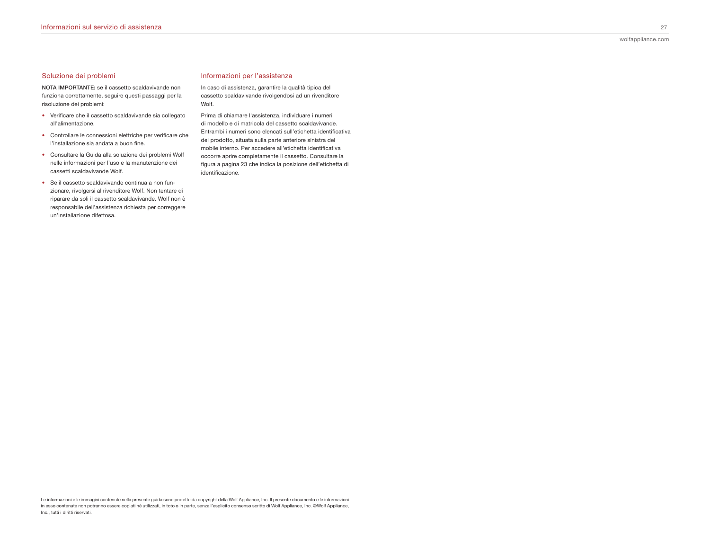# Soluzione dei problemi

**NOTA IMPORTANTE:** se il cassetto scaldavivande non funziona correttamente, seguire questi passaggi per la risoluzione dei problemi:

- Verificare che il cassetto scaldavivande sia collegato all'alimentazione.
- Controllare le connessioni elettriche per verificare che l'installazione sia andata a buon fine.
- Consultare la Guida alla soluzione dei problemi Wolf nelle informazioni per l'uso e la manutenzione dei cassetti scaldavivande Wolf.
- Se il cassetto scaldavivande continua a non funzionare, rivolgersi al rivenditore Wolf. Non tentare di riparare da soli il cassetto scaldavivande. Wolf non è responsabile dell'assistenza richiesta per correggere un'installazione difettosa.

# Informazioni per l'assistenza

In caso di assistenza, garantire la qualità tipica del cassetto scaldavivande rivolgendosi ad un rivenditore Wolf.

Prima di chiamare l'assistenza, individuare i numeri di modello e di matricola del cassetto scaldavivande. Entrambi i numeri sono elencati sull'etichetta identificativa del prodotto, situata sulla parte anteriore sinistra del mobile interno. Per accedere all'etichetta identificativa occorre aprire completamente il cassetto. Consultare la figura a pagina 23 che indica la posizione dell'etichetta di identificazione.

Le informazioni e le immagini contenute nella presente guida sono protette da copyright della Wolf Appliance, Inc. Il presente documento e le informazioni in esso contenute non potranno essere copiati né utilizzati, in toto o in parte, senza l'esplicito consenso scritto di Wolf Appliance, Inc. ©Wolf Appliance, Inc., tutti i diritti riservati.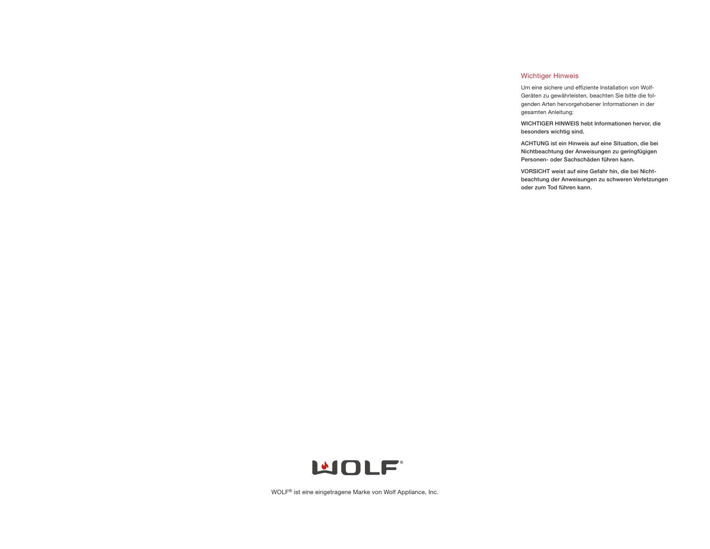# Wichtiger Hinweis

Um eine sichere und effiziente Installation von Wolf-Geräten zu gewährleisten, beachten Sie bitte die folgenden Arten hervorgehobener Informationen in der gesamten Anleitung:

**WICHTIGER HINWEIS hebt Informationen hervor, die besonders wichtig sind.**

**ACHTUNG ist ein Hinweis auf eine Situation, die bei Nichtbeachtung der Anweisungen zu geringfügigen Personen- oder Sachschäden führen kann.**

**VORSICHT weist auf eine Gefahr hin, die bei Nichtbeachtung der Anweisungen zu schweren Verletzungen oder zum Tod führen kann.**



WOLF® ist eine eingetragene Marke von Wolf Appliance, Inc.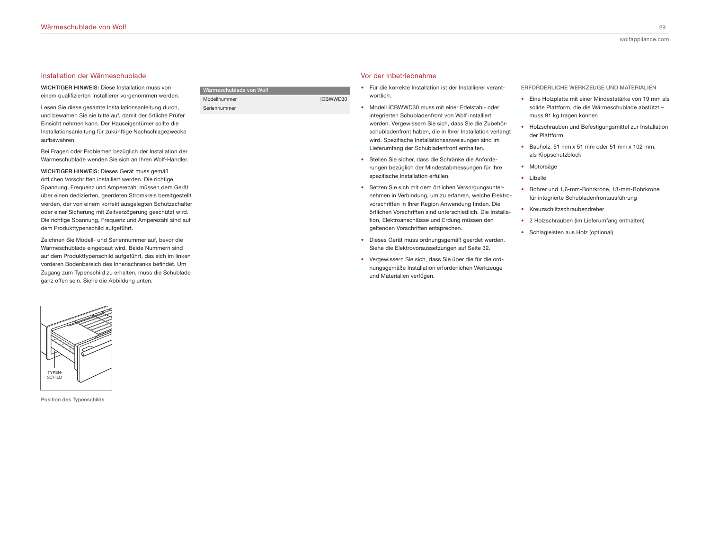# Installation der Wärmeschublade

**WICHTIGER HINWEIS:** Diese Installation muss von einem qualifizierten Installierer vorgenommen werden.

Lesen Sie diese gesamte Installationsanleitung durch, und bewahren Sie sie bitte auf, damit der örtliche Prüfer Einsicht nehmen kann. Der Hauseigentümer sollte die Installationsanleitung für zukünftige Nachschlagezwecke aufbewahren.

Bei Fragen oder Problemen bezüglich der Installation der Wärmeschublade wenden Sie sich an Ihren Wolf-Händler.

**WICHTIGER HINWEIS:** Dieses Gerät muss gemäß örtlichen Vorschriften installiert werden. Die richtige Spannung, Frequenz und Amperezahl müssen dem Gerät über einen dedizierten, geerdeten Stromkreis bereitgestellt werden, der von einem korrekt ausgelegten Schutzschalter oder einer Sicherung mit Zeitverzögerung geschützt wird. Die richtige Spannung, Frequenz und Amperezahl sind auf dem Produkttypenschild aufgeführt.

Zeichnen Sie Modell- und Seriennummer auf, bevor die Wärmeschublade eingebaut wird. Beide Nummern sind auf dem Produkttypenschild aufgeführt, das sich im linken vorderen Bodenbereich des Innenschranks befindet. Um Zugang zum Typenschild zu erhalten, muss die Schublade ganz offen sein. Siehe die Abbildung unten.



**Position des Typenschilds**

| Wärmeschublade von Wolf |          |
|-------------------------|----------|
| Modellnummer            | ICBWWD30 |
| Seriennummer            |          |

# Vor der Inbetriebnahme

- Für die korrekte Installation ist der Installierer verantwortlich.
- Modell ICBWWD30 muss mit einer Edelstahl- oder integrierten Schubladenfront von Wolf installiert werden. Vergewissern Sie sich, dass Sie die Zubehörschubladenfront haben, die in Ihrer Installation verlangt wird. Spezifische Installationsanweisungen sind im Lieferumfang der Schubladenfront enthalten.
- Stellen Sie sicher, dass die Schränke die Anforderungen bezüglich der Mindestabmessungen für Ihre spezifische Installation erfüllen.
- Setzen Sie sich mit dem örtlichen Versorgungsunternehmen in Verbindung, um zu erfahren, welche Elektrovorschriften in Ihrer Region Anwendung finden. Die örtlichen Vorschriften sind unterschiedlich. Die Installation, Elektroanschlüsse und Erdung müssen den geltenden Vorschriften entsprechen.
- Dieses Gerät muss ordnungsgemäß geerdet werden. Siehe die Elektrovoraussetzungen auf Seite 32.
- Vergewissern Sie sich, dass Sie über die für die ordnungsgemäße Installation erforderlichen Werkzeuge und Materialien verfügen.

**ERFORDERLICHE WERKZEUGE UND MATERIALIEN**

- Eine Holzplatte mit einer Mindeststärke von 19 mm als solide Plattform, die die Wärmeschublade abstützt – muss 91 kg tragen können
- Holzschrauben und Befestigungsmittel zur Installation der Plattform
- Bauholz, 51 mm x 51 mm oder 51 mm x 102 mm, als Kippschutzblock
- Motorsäge
- Libelle
- Bohrer und 1,6-mm-Bohrkrone, 13-mm-Bohrkrone für integrierte Schubladenfrontausführung
- Kreuzschlitzschraubendreher
- 2 Holzschrauben (im Lieferumfang enthalten)
- Schlagleisten aus Holz (optional)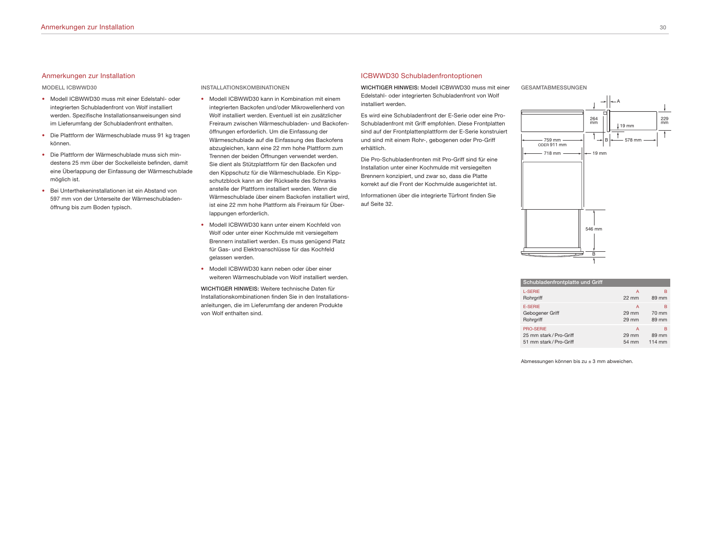#### Anmerkungen zur Installation

#### **MODELL ICBWWD30**

- Modell ICBWWD30 muss mit einer Edelstahl- oder integrierten Schubladenfront von Wolf installiert werden. Spezifische Installationsanweisungen sind im Lieferumfang der Schubladenfront enthalten.
- Die Plattform der Wärmeschublade muss 91 kg tragen können.
- Die Plattform der Wärmeschublade muss sich mindestens 25 mm über der Sockelleiste befinden, damit eine Überlappung der Einfassung der Wärmeschublade möglich ist.
- Bei Unterthekeninstallationen ist ein Abstand von 597 mm von der Unterseite der Wärmeschubladenöffnung bis zum Boden typisch.

#### **INSTALLATIONSKOMBINATIONEN**

- Modell ICBWWD30 kann in Kombination mit einem integrierten Backofen und/oder Mikrowellenherd von Wolf installiert werden. Eventuell ist ein zusätzlicher Freiraum zwischen Wärmeschubladen- und Backofenöffnungen erforderlich. Um die Einfassung der Wärmeschublade auf die Einfassung des Backofens abzugleichen, kann eine 22 mm hohe Plattform zum Trennen der beiden Öffnungen verwendet werden. Sie dient als Stützplattform für den Backofen und den Kippschutz für die Wärmeschublade. Ein Kippschutzblock kann an der Rückseite des Schranks anstelle der Plattform installiert werden. Wenn die Wärmeschublade über einem Backofen installiert wird, ist eine 22 mm hohe Plattform als Freiraum für Überlappungen erforderlich.
- Modell ICBWWD30 kann unter einem Kochfeld von Wolf oder unter einer Kochmulde mit versiegeltem Brennern installiert werden. Es muss genügend Platz für Gas- und Elektroanschlüsse für das Kochfeld gelassen werden.
- Modell ICBWWD30 kann neben oder über einer weiteren Wärmeschublade von Wolf installiert werden.

**WICHTIGER HINWEIS:** Weitere technische Daten für Installationskombinationen finden Sie in den Installationsanleitungen, die im Lieferumfang der anderen Produkte von Wolf enthalten sind.

#### ICBWWD30 Schubladenfrontoptionen

**WICHTIGER HINWEIS:** Modell ICBWWD30 muss mit einer Edelstahl- oder integrierten Schubladenfront von Wolf installiert werden.

Es wird eine Schubladenfront der E-Serie oder eine Pro-Schubladenfront mit Griff empfohlen. Diese Frontplatten sind auf der Frontplattenplattform der E-Serie konstruiert und sind mit einem Rohr-, gebogenen oder Pro-Griff erhältlich.

Die Pro-Schubladenfronten mit Pro-Griff sind für eine Installation unter einer Kochmulde mit versiegelten Brennern konzipiert, und zwar so, dass die Platte korrekt auf die Front der Kochmulde ausgerichtet ist.

Informationen über die integrierte Türfront finden Sie auf Seite 32.

**GESAMTABMESSUNGEN**



| Schubladenfrontplatte und Griff |                 |        |
|---------------------------------|-----------------|--------|
| <b>L-SERIE</b>                  | А               | в      |
| Rohrgriff                       | $22 \text{ mm}$ | 89 mm  |
| <b>F-SERIE</b>                  | А               | в      |
| Gebogener Griff                 | 29 mm           | 70 mm  |
| Rohrgriff                       | 29 mm           | 89 mm  |
| <b>PRO-SERIE</b>                | A               | в      |
| 25 mm stark / Pro-Griff         | 29 mm           | 89 mm  |
| 51 mm stark / Pro-Griff         | 54 mm           | 114 mm |

Abmessungen können bis zu ± 3 mm abweichen.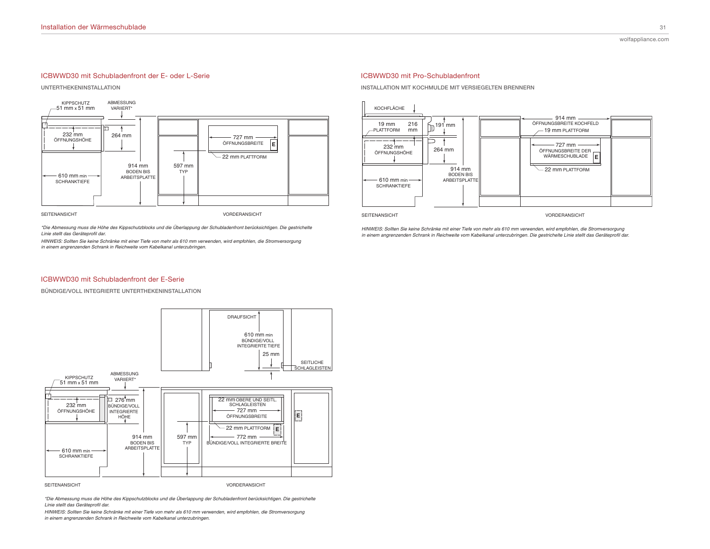# ICBWWD30 mit Schubladenfront der E- oder L-Serie

**UNTERTHEKENINSTALLATION**



\*Die Abmessung muss die Höhe des Kippschutzblocks und die Überlappung der Schubladenfront berücksichtigen. Die gestrichelte Linie stellt das Geräteprofil dar.

*H NWE S S S S m m mm w w m S m in einem angrenzenden Schrank in Reichweite vom Kabelkanal unterzubringen.* 

### ICBWWD30 mit Pro-Schubladenfront

**INSTALLATION MIT KOCHMULDE MIT VERSIEGELTEN BRENNERN**



**SEITENANSICHT** 

VORDERANSICHT

*H NWE S S S S m m mm w w m S m* in einem angrenzenden Schrank in Reichweite vom Kabelkanal unterzubringen. Die gestrichelte Linie stellt das Geräteprofil dar.

#### ICBWWD30 mit Schubladenfront der E-Serie

**BÜNDIGE/VOLL INTEGRIERTE UNTERTHEKENINSTALLATION**



*\*Die Abmessung muss die Höhe des Kippschutzblocks und die Überlappung der Schubladenfront berücksichtigen. Die gestrichelte* Linie stellt das Geräteprofil dar.

HINWEIS: Sollten Sie keine Schränke mit einer Tiefe von mehr als 610 mm verwenden, wird empfohlen, die Stromversorgung *in einem angrenzenden Schrank in Reichweite vom Kabelkanal unterzubringen.*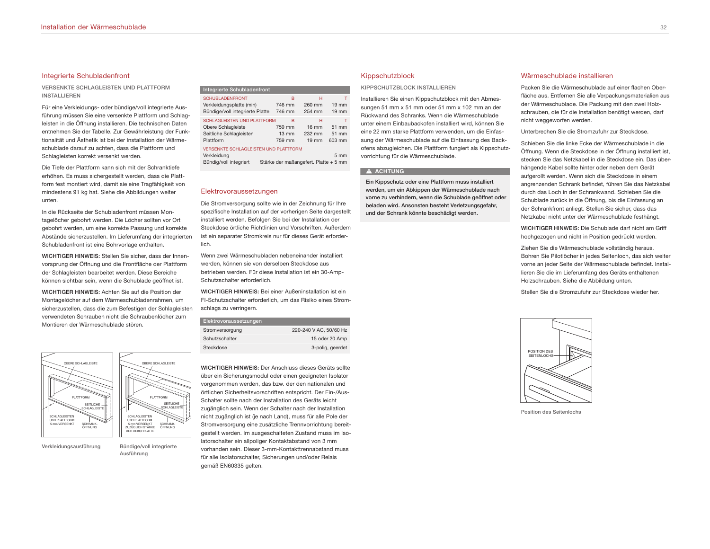#### Integrierte Schubladenfront

**VERSENKTE SCHLAGLEISTEN UND PLATTFORM INSTALLIEREN**

Für eine Verkleidungs- oder bündige/voll integrierte Ausführung müssen Sie eine versenkte Plattform und Schlagleisten in die Öffnung installieren. Die technischen Daten entnehmen Sie der Tabelle. Zur Gewährleistung der Funktionalität und Ästhetik ist bei der Installation der Wärmeschublade darauf zu achten, dass die Plattform und Schlagleisten korrekt versenkt werden.

Die Tiefe der Plattform kann sich mit der Schranktiefe erhöhen. Es muss sichergestellt werden, dass die Plattform fest montiert wird, damit sie eine Tragfähigkeit von mindestens 91 kg hat. Siehe die Abbildungen weiter unten.

In die Rückseite der Schubladenfront müssen Montagelöcher gebohrt werden. Die Löcher sollten vor Ort gebohrt werden, um eine korrekte Passung und korrekte Abstände sicherzustellen. Im Lieferumfang der integrierten Schubladenfront ist eine Bohrvorlage enthalten.

**WICHTIGER HINWEIS:** Stellen Sie sicher, dass der Innenvorsprung der Öffnung und die Frontfläche der Plattform der Schlagleisten bearbeitet werden. Diese Bereiche können sichtbar sein, wenn die Schublade geöffnet ist.

**WICHTIGER HINWEIS:** Achten Sie auf die Position der Montagelöcher auf dem Wärmeschubladenrahmen, um sicherzustellen, dass die zum Befestigen der Schlagleisten verwendeten Schrauben nicht die Schraubenlöcher zum Montieren der Wärmeschublade stören.



**Verkleidungsausführung Bündige/voll integrierte Ausführung**

# **Integrierte Schubladenfront**

| <b>SCHUBLADENFRONT</b><br>Verkleidungsplatte (min)<br>Bündige/voll integrierte Platte        | в<br>746 mm<br>746 mm                    | н<br>260 mm<br>254 mm                             | $19 \text{ mm}$<br>$19 \text{ mm}$ |
|----------------------------------------------------------------------------------------------|------------------------------------------|---------------------------------------------------|------------------------------------|
| SCHI AGI FISTEN UND PI ATTEORM<br>Obere Schlagleiste<br>Seitliche Schlagleisten<br>Plattform | в<br>759 mm<br>$13 \text{ mm}$<br>759 mm | н<br>$16 \text{ mm}$<br>232 mm<br>$19 \text{ mm}$ | 51 mm<br>51 mm<br>603 mm           |
| <b>VERSENKTE SCHLAGLEISTEN UND PLATTFORM</b><br>Verkleidung<br>Bündig/voll integriert        | Stärke der maßangefert. Platte + 5 mm    |                                                   | 5 <sub>mm</sub>                    |

#### Elektrovoraussetzungen

Die Stromversorgung sollte wie in der Zeichnung für Ihre spezifische Installation auf der vorherigen Seite dargestellt installiert werden. Befolgen Sie bei der Installation der Steckdose örtliche Richtlinien und Vorschriften. Außerdem ist ein separater Stromkreis nur für dieses Gerät erforderlich.

Wenn zwei Wärmeschubladen nebeneinander installiert werden, können sie von derselben Steckdose aus betrieben werden. Für diese Installation ist ein 30-Amp-Schutzschalter erforderlich.

**WICHTIGER HINWEIS:** Bei einer Außeninstallation ist ein FI-Schutzschalter erforderlich, um das Risiko eines Stromschlags zu verringern.

| Elektrovoraussetzungen |                        |
|------------------------|------------------------|
| Stromversorgung        | 220-240 V AC, 50/60 Hz |
| Schutzschalter         | 15 oder 20 Amp         |
| Steckdose              | 3-polig, geerdet       |
|                        |                        |

**WICHTIGER HINWEIS:** Der Anschluss dieses Geräts sollte über ein Sicherungsmodul oder einen geeigneten Isolator vorgenommen werden, das bzw. der den nationalen und örtlichen Sicherheitsvorschriften entspricht. Der Ein-/Aus-Schalter sollte nach der Installation des Geräts leicht zugänglich sein. Wenn der Schalter nach der Installation nicht zugänglich ist (je nach Land), muss für alle Pole der Stromversorgung eine zusätzliche Trennvorrichtung bereitgestellt werden. Im ausgeschalteten Zustand muss im Isolatorschalter ein allpoliger Kontaktabstand von 3 mm vorhanden sein. Dieser 3-mm-Kontakttrennabstand muss für alle Isolatorschalter, Sicherungen und/oder Relais gemäß EN60335 gelten.

#### Kippschutzblock

**KIPPSCHUTZBLOCK INSTALLIEREN**

Installieren Sie einen Kippschutzblock mit den Abmessungen 51 mm x 51 mm oder 51 mm x 102 mm an der Rückwand des Schranks. Wenn die Wärmeschublade unter einem Einbaubackofen installiert wird, können Sie eine 22 mm starke Plattform verwenden, um die Einfassung der Wärmeschublade auf die Einfassung des Backofens abzugleichen. Die Plattform fungiert als Kippschutzvorrichtung für die Wärmeschublade.

# **A** ACHTUNG

**Ein Kippschutz oder eine Plattform muss installiert werden, um ein Abkippen der Wärmeschublade nach vorne zu verhindern, wenn die Schublade geöffnet oder beladen wird. Ansonsten besteht Verletzungsgefahr, und der Schrank könnte beschädigt werden.**

#### Wärmeschublade installieren

Packen Sie die Wärmeschublade auf einer flachen Oberfläche aus. Entfernen Sie alle Verpackungsmaterialien aus der Wärmeschublade. Die Packung mit den zwei Holzschrauben, die für die Installation benötigt werden, darf nicht weggeworfen werden.

Unterbrechen Sie die Stromzufuhr zur Steckdose.

Schieben Sie die linke Ecke der Wärmeschublade in die Öffnung. Wenn die Steckdose in der Öffnung installiert ist, stecken Sie das Netzkabel in die Steckdose ein. Das überhängende Kabel sollte hinter oder neben dem Gerät aufgerollt werden. Wenn sich die Steckdose in einem angrenzenden Schrank befindet, führen Sie das Netzkabel durch das Loch in der Schrankwand. Schieben Sie die Schublade zurück in die Öffnung, bis die Einfassung an der Schrankfront anliegt. Stellen Sie sicher, dass das Netzkabel nicht unter der Wärmeschublade festhängt.

**WICHTIGER HINWEIS:** Die Schublade darf nicht am Griff hochgezogen und nicht in Position gedrückt werden.

Ziehen Sie die Wärmeschublade vollständig heraus. Bohren Sie Pilotlöcher in jedes Seitenloch, das sich weiter vorne an jeder Seite der Wärmeschublade befindet. Installieren Sie die im Lieferumfang des Geräts enthaltenen Holzschrauben. Siehe die Abbildung unten.

Stellen Sie die Stromzufuhr zur Steckdose wieder her.



**Position des Seitenlochs**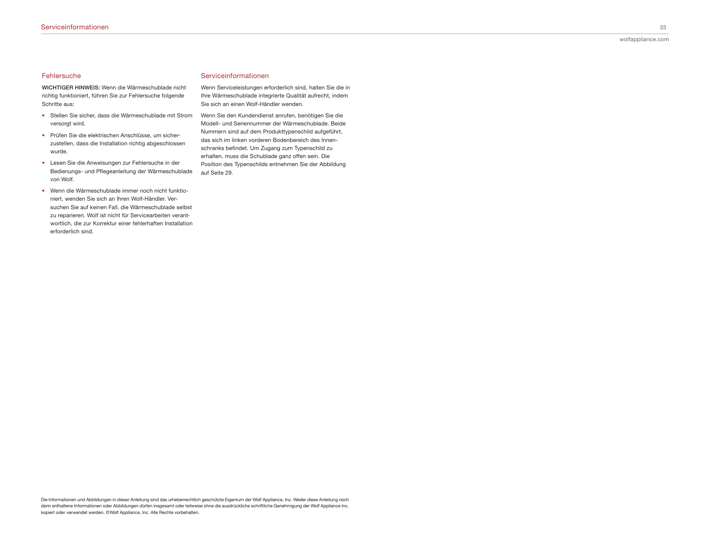#### Fehlersuche

**WICHTIGER HINWEIS:** Wenn die Wärmeschublade nicht richtig funktioniert, führen Sie zur Fehlersuche folgende Schritte aus:

- Stellen Sie sicher, dass die Wärmeschublade mit Strom versorgt wird.
- Prüfen Sie die elektrischen Anschlüsse, um sicherzustellen, dass die Installation richtig abgeschlossen wurde.
- Lesen Sie die Anweisungen zur Fehlersuche in der Bedienungs- und Pflegeanleitung der Wärmeschublade von Wolf.
- Wenn die Wärmeschublade immer noch nicht funktioniert, wenden Sie sich an Ihren Wolf-Händler. Versuchen Sie auf keinen Fall, die Wärmeschublade selbst zu reparieren. Wolf ist nicht für Servicearbeiten verantwortlich, die zur Korrektur einer fehlerhaften Installation erforderlich sind.

# Serviceinformationen

Wenn Serviceleistungen erforderlich sind, halten Sie die in Ihre Wärmeschublade integrierte Qualität aufrecht, indem Sie sich an einen Wolf-Händler wenden.

Wenn Sie den Kundendienst anrufen, benötigen Sie die Modell- und Seriennummer der Wärmeschublade. Beide Nummern sind auf dem Produkttypenschild aufgeführt, das sich im linken vorderen Bodenbereich des Innenschranks befindet. Um Zugang zum Typenschild zu erhalten, muss die Schublade ganz offen sein. Die Position des Typenschilds entnehmen Sie der Abbildung auf Seite 29.